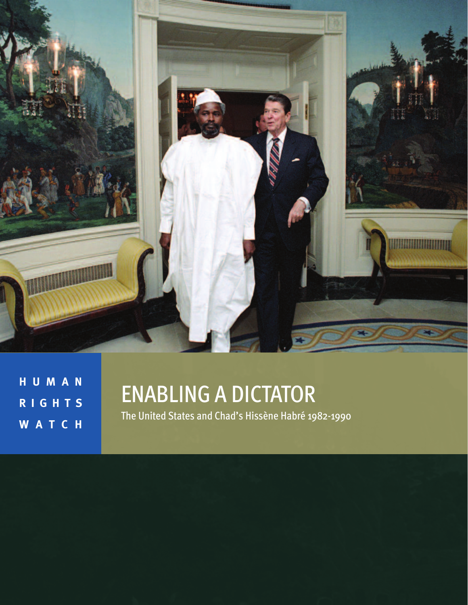

**H U M A N R I G H T S W A T C H**

# ENABLING A DICTATOR

The United States and Chad's Hissène Habré 1982-1990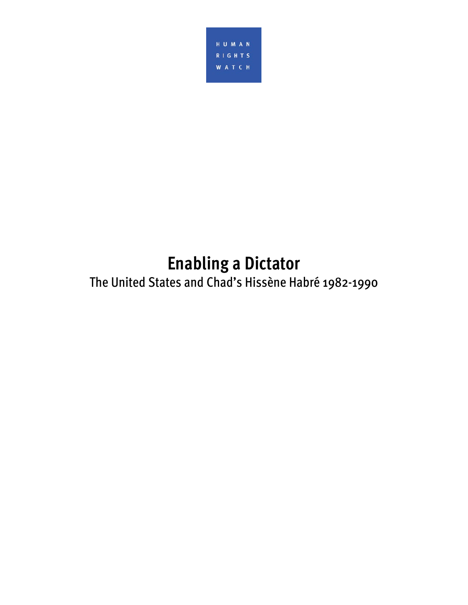

**Enabling a Dictator**  The United States and Chad's Hissène Habré 1982-1990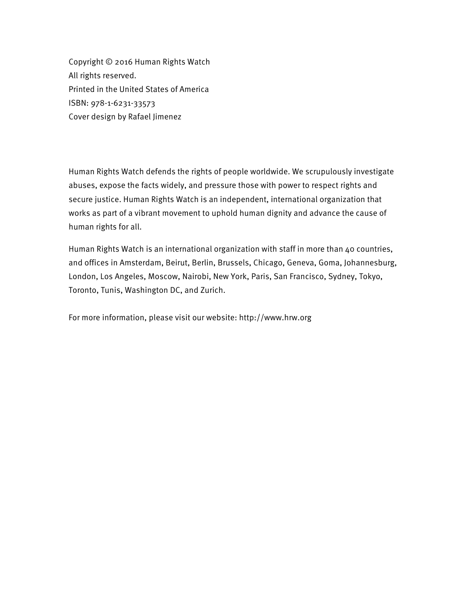Copyright © 2016 Human Rights Watch All rights reserved. Printed in the United States of America ISBN: 978-1-6231-33573 Cover design by Rafael Jimenez

Human Rights Watch defends the rights of people worldwide. We scrupulously investigate abuses, expose the facts widely, and pressure those with power to respect rights and secure justice. Human Rights Watch is an independent, international organization that works as part of a vibrant movement to uphold human dignity and advance the cause of human rights for all.

Human Rights Watch is an international organization with staff in more than 40 countries, and offices in Amsterdam, Beirut, Berlin, Brussels, Chicago, Geneva, Goma, Johannesburg, London, Los Angeles, Moscow, Nairobi, New York, Paris, San Francisco, Sydney, Tokyo, Toronto, Tunis, Washington DC, and Zurich.

For more information, please visit our website: http://www.hrw.org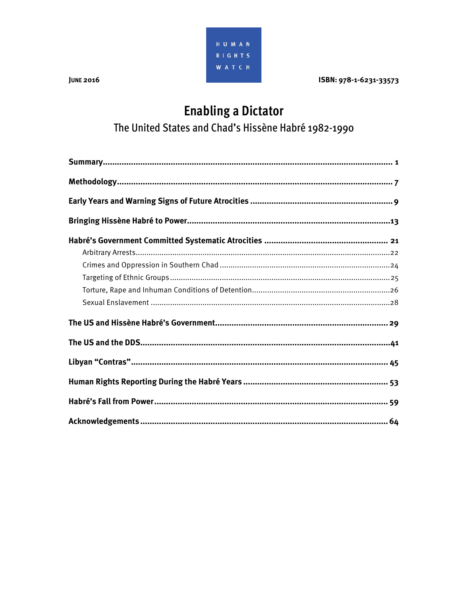

**JUNE 2016** 

ISBN: 978-1-6231-33573

# **Enabling a Dictator**

The United States and Chad's Hissène Habré 1982-1990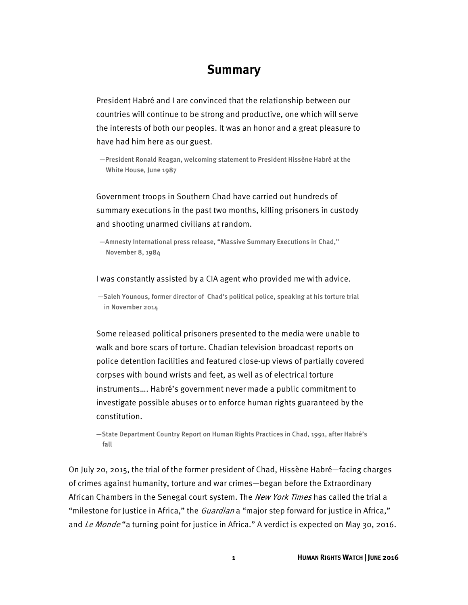### **Summary**

President Habré and I are convinced that the relationship between our countries will continue to be strong and productive, one which will serve the interests of both our peoples. It was an honor and a great pleasure to have had him here as our guest.

—President Ronald Reagan, welcoming statement to President Hissène Habré at the White House, June 1987

Government troops in Southern Chad have carried out hundreds of summary executions in the past two months, killing prisoners in custody and shooting unarmed civilians at random.

—Amnesty International press release, "Massive Summary Executions in Chad," November 8, 1984

#### I was constantly assisted by a CIA agent who provided me with advice.

 —Saleh Younous, former director of Chad's political police, speaking at his torture trial in November 2014

Some released political prisoners presented to the media were unable to walk and bore scars of torture. Chadian television broadcast reports on police detention facilities and featured close-up views of partially covered corpses with bound wrists and feet, as well as of electrical torture instruments…. Habré's government never made a public commitment to investigate possible abuses or to enforce human rights guaranteed by the constitution.

—State Department Country Report on Human Rights Practices in Chad, 1991, after Habré's fall

On July 20, 2015, the trial of the former president of Chad, Hissène Habré—facing charges of crimes against humanity, torture and war crimes—began before the Extraordinary African Chambers in the Senegal court system. The *New York Times* has called the trial a "milestone for Justice in Africa," the *Guardian* a "major step forward for justice in Africa," and Le Monde "a turning point for justice in Africa." A verdict is expected on May 30, 2016.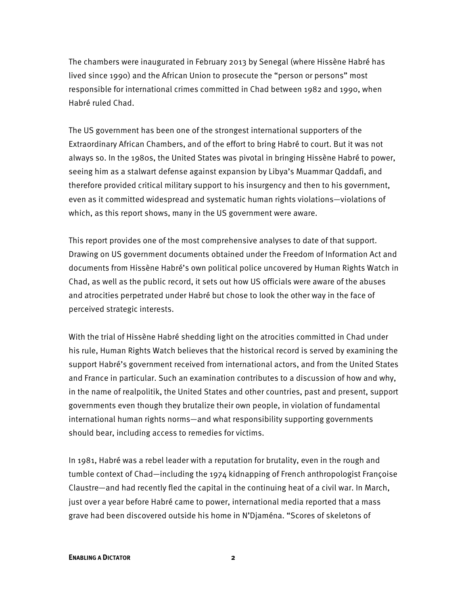The chambers were inaugurated in February 2013 by Senegal (where Hissène Habré has lived since 1990) and the African Union to prosecute the "person or persons" most responsible for international crimes committed in Chad between 1982 and 1990, when Habré ruled Chad.

The US government has been one of the strongest international supporters of the Extraordinary African Chambers, and of the effort to bring Habré to court. But it was not always so. In the 1980s, the United States was pivotal in bringing Hissène Habré to power, seeing him as a stalwart defense against expansion by Libya's Muammar Qaddafi, and therefore provided critical military support to his insurgency and then to his government, even as it committed widespread and systematic human rights violations—violations of which, as this report shows, many in the US government were aware.

This report provides one of the most comprehensive analyses to date of that support. Drawing on US government documents obtained under the Freedom of Information Act and documents from Hissène Habré's own political police uncovered by Human Rights Watch in Chad, as well as the public record, it sets out how US officials were aware of the abuses and atrocities perpetrated under Habré but chose to look the other way in the face of perceived strategic interests.

With the trial of Hissène Habré shedding light on the atrocities committed in Chad under his rule, Human Rights Watch believes that the historical record is served by examining the support Habré's government received from international actors, and from the United States and France in particular. Such an examination contributes to a discussion of how and why, in the name of realpolitik, the United States and other countries, past and present, support governments even though they brutalize their own people, in violation of fundamental international human rights norms—and what responsibility supporting governments should bear, including access to remedies for victims.

In 1981, Habré was a rebel leader with a reputation for brutality, even in the rough and tumble context of Chad—including the 1974 kidnapping of French anthropologist Françoise Claustre—and had recently fled the capital in the continuing heat of a civil war. In March, just over a year before Habré came to power, international media reported that a mass grave had been discovered outside his home in N'Djaména. "Scores of skeletons of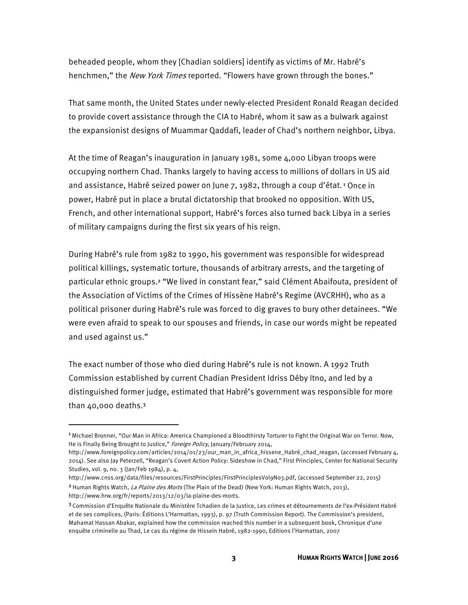beheaded people, whom they [Chadian soldiers] identify as victims of Mr. Habré's henchmen," the New York Times reported. "Flowers have grown through the bones."

That same month, the United States under newly-elected President Ronald Reagan decided to provide covert assistance through the CIA to Habré, whom it saw as a bulwark against the expansionist designs of Muammar Qaddafi, leader of Chad's northern neighbor, Libya.

At the time of Reagan's inauguration in January 1981, some 4,000 Libyan troops were occupying northern Chad. Thanks largely to having access to millions of dollars in US aid and assistance, Habré seized power on June 7, 1982, through a coup d'état.<sup>1</sup> Once in power, Habré put in place a brutal dictatorship that brooked no opposition. With US, French, and other international support, Habré's forces also turned back Libya in a series of military campaigns during the first six years of his reign.

During Habré's rule from 1982 to 1990, his government was responsible for widespread political killings, systematic torture, thousands of arbitrary arrests, and the targeting of particular ethnic groups.2 "We lived in constant fear," said Clément Abaifouta, president of the Association of Victims of the Crimes of Hissène Habré's Regime (AVCRHH), who as a political prisoner during Habré's rule was forced to dig graves to bury other detainees. "We were even afraid to speak to our spouses and friends, in case our words might be repeated and used against us."

The exact number of those who died during Habré's rule is not known. A 1992 Truth Commission established by current Chadian President Idriss Déby Itno, and led by a distinguished former judge, estimated that Habré's government was responsible for more than 40,000 deaths.<sup>3</sup>

<sup>1</sup>Michael Bronner, "Our Man in Africa: America Championed a Bloodthirsty Torturer to Fight the Original War on Terror. Now, He is Finally Being Brought to Justice," Foreign Policy, January/February 2014,

http://www.foreignpolicy.com/articles/2014/01/23/our\_man\_in\_africa\_hissene\_Habré\_chad\_reagan, (accessed February 4, 2014). See also Jay Peterzell, "Reagan's Covert Action Policy: Sideshow in Chad," First Principles, Center for National Security Studies, vol. 9, no. 3 (Jan/Feb 1984), p. 4,

http://www.cnss.org/data/files/resources/FirstPrinciples/FirstPrinciplesVol9No3.pdf, (accessed September 22, 2015) <sup>2</sup> Human Rights Watch, La Plaine des Morts (The Plain of the Dead) (New York: Human Rights Watch, 2013), http://www.hrw.org/fr/reports/2013/12/03/la-plaine-des-morts.

<sup>3</sup>Commission d'Enquête Nationale du Ministère Tchadien de la Justice, Les crimes et détournements de l'ex-Président Habré et de ses complices, (Paris: Éditions L'Harmattan, 1993), p. 97 (Truth Commission Report). The Commission's president, Mahamat Hassan Abakar, explained how the commission reached this number in a subsequent book, Chronique d'une enquête criminelle au Thad, Le cas du régime de Hissein Habré, 1982-1990, Editions l'Harmattan, 2007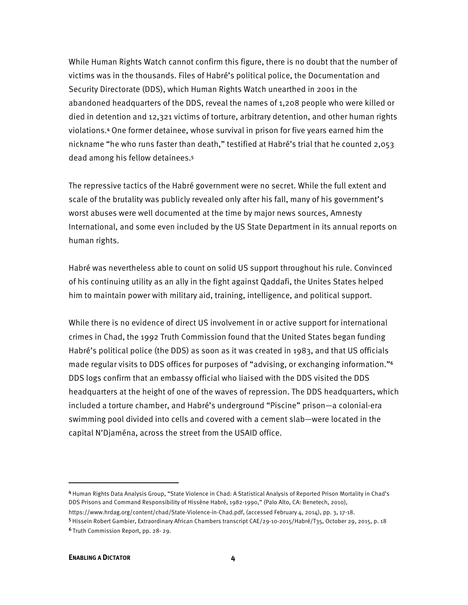While Human Rights Watch cannot confirm this figure, there is no doubt that the number of victims was in the thousands. Files of Habré's political police, the Documentation and Security Directorate (DDS), which Human Rights Watch unearthed in 2001 in the abandoned headquarters of the DDS, reveal the names of 1,208 people who were killed or died in detention and 12,321 victims of torture, arbitrary detention, and other human rights violations.4 One former detainee, whose survival in prison for five years earned him the nickname "he who runs faster than death," testified at Habré's trial that he counted 2,053 dead among his fellow detainees.<sup>5</sup>

The repressive tactics of the Habré government were no secret. While the full extent and scale of the brutality was publicly revealed only after his fall, many of his government's worst abuses were well documented at the time by major news sources, Amnesty International, and some even included by the US State Department in its annual reports on human rights.

Habré was nevertheless able to count on solid US support throughout his rule. Convinced of his continuing utility as an ally in the fight against Qaddafi, the Unites States helped him to maintain power with military aid, training, intelligence, and political support.

While there is no evidence of direct US involvement in or active support for international crimes in Chad, the 1992 Truth Commission found that the United States began funding Habré's political police (the DDS) as soon as it was created in 1983, and that US officials made regular visits to DDS offices for purposes of "advising, or exchanging information."<sup>6</sup> DDS logs confirm that an embassy official who liaised with the DDS visited the DDS headquarters at the height of one of the waves of repression. The DDS headquarters, which included a torture chamber, and Habré's underground "Piscine" prison—a colonial-era swimming pool divided into cells and covered with a cement slab—were located in the capital N'Djaména, across the street from the USAID office.

l

<sup>4</sup>Human Rights Data Analysis Group, "State Violence in Chad: A Statistical Analysis of Reported Prison Mortality in Chad's DDS Prisons and Command Responsibility of Hissène Habré, 1982-1990," (Palo Alto, CA: Benetech, 2010),

https://www.hrdag.org/content/chad/State-Violence-in-Chad.pdf, (accessed February 4, 2014), pp. 3, 17-18.

<sup>5</sup>Hissein Robert Gambier, Extraordinary African Chambers transcript CAE/29-10-2015/Habré/T35, October 29, 2015, p. 18 <sup>6</sup>Truth Commission Report, pp. 28- 29.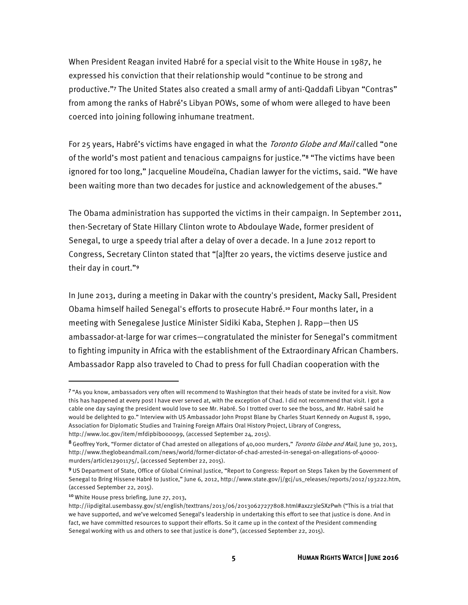When President Reagan invited Habré for a special visit to the White House in 1987, he expressed his conviction that their relationship would "continue to be strong and productive."7 The United States also created a small army of anti-Qaddafi Libyan "Contras" from among the ranks of Habré's Libyan POWs, some of whom were alleged to have been coerced into joining following inhumane treatment.

For 25 years, Habré's victims have engaged in what the *Toronto Globe and Mail* called "one of the world's most patient and tenacious campaigns for justice."8 "The victims have been ignored for too long," Jacqueline Moudeïna, Chadian lawyer for the victims, said. "We have been waiting more than two decades for justice and acknowledgement of the abuses."

The Obama administration has supported the victims in their campaign. In September 2011, then-Secretary of State Hillary Clinton wrote to Abdoulaye Wade, former president of Senegal, to urge a speedy trial after a delay of over a decade. In a June 2012 report to Congress, Secretary Clinton stated that "[a]fter 20 years, the victims deserve justice and their day in court."<sup>9</sup>

In June 2013, during a meeting in Dakar with the country's president, Macky Sall, President Obama himself hailed Senegal's efforts to prosecute Habré.10 Four months later, in a meeting with Senegalese Justice Minister Sidiki Kaba, Stephen J. Rapp—then US ambassador-at-large for war crimes—congratulated the minister for Senegal's commitment to fighting impunity in Africa with the establishment of the Extraordinary African Chambers. Ambassador Rapp also traveled to Chad to press for full Chadian cooperation with the

<sup>7</sup>"As you know, ambassadors very often will recommend to Washington that their heads of state be invited for a visit. Now this has happened at every post I have ever served at, with the exception of Chad. I did not recommend that visit. I got a cable one day saying the president would love to see Mr. Habré. So I trotted over to see the boss, and Mr. Habré said he would be delighted to go." Interview with US Ambassador John Propst Blane by Charles Stuart Kennedy on August 8, 1990, Association for Diplomatic Studies and Training Foreign Affairs Oral History Project, Library of Congress, http://www.loc.gov/item/mfdipbib000099, (accessed September 24, 2015).

<sup>8</sup> Geoffrey York, "Former dictator of Chad arrested on allegations of 40,000 murders," Toronto Globe and Mail, June 30, 2013, http://www.theglobeandmail.com/news/world/former-dictator-of-chad-arrested-in-senegal-on-allegations-of-40000 murders/article12901175/, (accessed September 22, 2015).

<sup>9</sup>US Department of State, Office of Global Criminal Justice, "Report to Congress: Report on Steps Taken by the Government of Senegal to Bring Hissene Habré to Justice," June 6, 2012, http://www.state.gov/j/gcj/us\_releases/reports/2012/193222.htm, (accessed September 22, 2015).

<sup>10</sup>White House press briefing, June 27, 2013,

http://iipdigital.usembassy.gov/st/english/texttrans/2013/06/20130627277808.html#axzz3leSXzPwh ("This is a trial that we have supported, and we've welcomed Senegal's leadership in undertaking this effort to see that justice is done. And in fact, we have committed resources to support their efforts. So it came up in the context of the President commending Senegal working with us and others to see that justice is done"), (accessed September 22, 2015).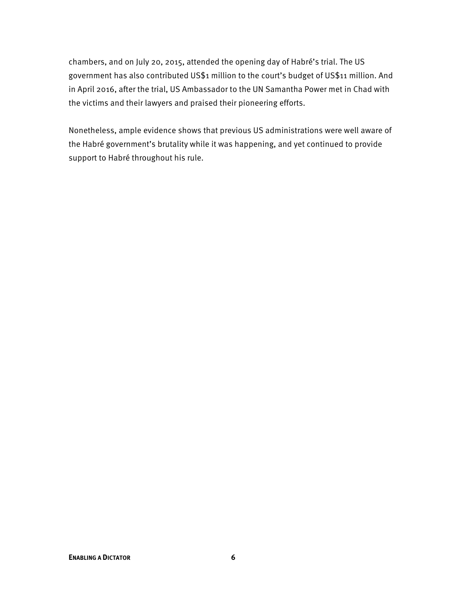chambers, and on July 20, 2015, attended the opening day of Habré's trial. The US government has also contributed US\$1 million to the court's budget of US\$11 million. And in April 2016, after the trial, US Ambassador to the UN Samantha Power met in Chad with the victims and their lawyers and praised their pioneering efforts.

Nonetheless, ample evidence shows that previous US administrations were well aware of the Habré government's brutality while it was happening, and yet continued to provide support to Habré throughout his rule.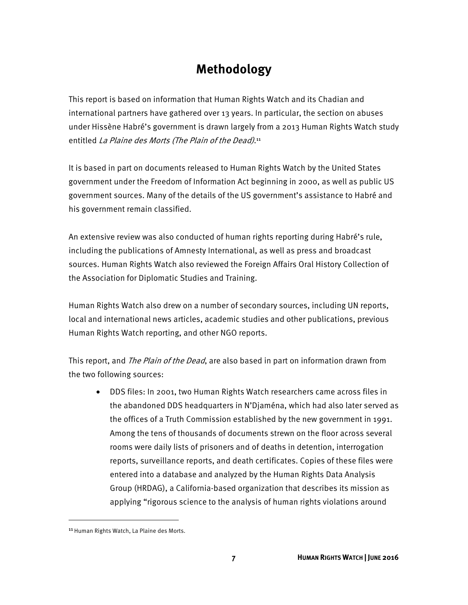# **Methodology**

This report is based on information that Human Rights Watch and its Chadian and international partners have gathered over 13 years. In particular, the section on abuses under Hissène Habré's government is drawn largely from a 2013 Human Rights Watch study entitled La Plaine des Morts (The Plain of the Dead).<sup>11</sup>

It is based in part on documents released to Human Rights Watch by the United States government under the Freedom of Information Act beginning in 2000, as well as public US government sources. Many of the details of the US government's assistance to Habré and his government remain classified.

An extensive review was also conducted of human rights reporting during Habré's rule, including the publications of Amnesty International, as well as press and broadcast sources. Human Rights Watch also reviewed the Foreign Affairs Oral History Collection of the Association for Diplomatic Studies and Training.

Human Rights Watch also drew on a number of secondary sources, including UN reports, local and international news articles, academic studies and other publications, previous Human Rights Watch reporting, and other NGO reports.

This report, and *The Plain of the Dead*, are also based in part on information drawn from the two following sources:

• DDS files: In 2001, two Human Rights Watch researchers came across files in the abandoned DDS headquarters in N'Djaména, which had also later served as the offices of a Truth Commission established by the new government in 1991. Among the tens of thousands of documents strewn on the floor across several rooms were daily lists of prisoners and of deaths in detention, interrogation reports, surveillance reports, and death certificates. Copies of these files were entered into a database and analyzed by the Human Rights Data Analysis Group (HRDAG), a California-based organization that describes its mission as applying "rigorous science to the analysis of human rights violations around

<sup>11</sup> Human Rights Watch, La Plaine des Morts.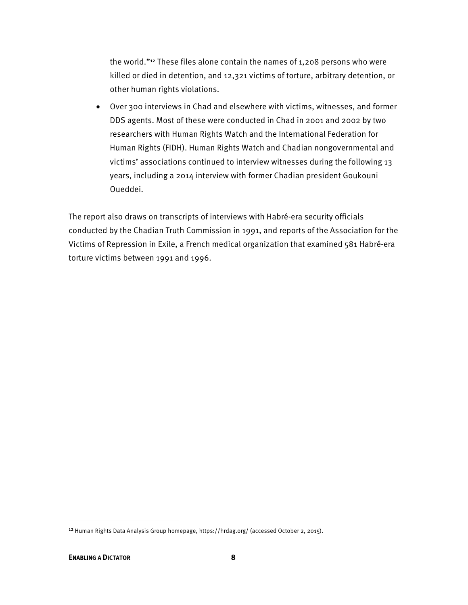the world."12 These files alone contain the names of 1,208 persons who were killed or died in detention, and 12,321 victims of torture, arbitrary detention, or other human rights violations.

• Over 300 interviews in Chad and elsewhere with victims, witnesses, and former DDS agents. Most of these were conducted in Chad in 2001 and 2002 by two researchers with Human Rights Watch and the International Federation for Human Rights (FIDH). Human Rights Watch and Chadian nongovernmental and victims' associations continued to interview witnesses during the following 13 years, including a 2014 interview with former Chadian president Goukouni Oueddei.

The report also draws on transcripts of interviews with Habré-era security officials conducted by the Chadian Truth Commission in 1991, and reports of the Association for the Victims of Repression in Exile, a French medical organization that examined 581 Habré-era torture victims between 1991 and 1996.

<sup>&</sup>lt;sup>12</sup> Human Rights Data Analysis Group homepage, https://hrdag.org/ (accessed October 2, 2015).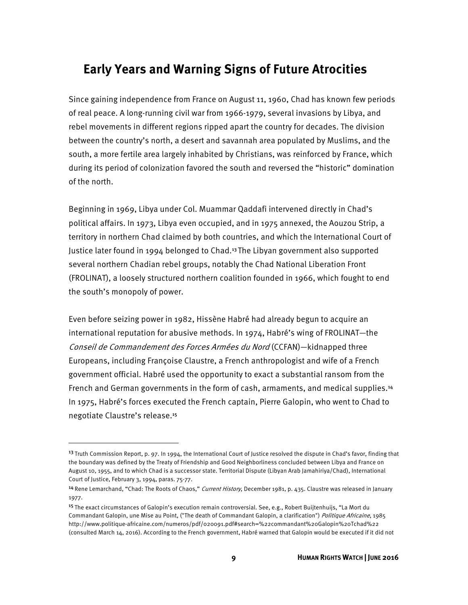# **Early Years and Warning Signs of Future Atrocities**

Since gaining independence from France on August 11, 1960, Chad has known few periods of real peace. A long-running civil war from 1966-1979, several invasions by Libya, and rebel movements in different regions ripped apart the country for decades. The division between the country's north, a desert and savannah area populated by Muslims, and the south, a more fertile area largely inhabited by Christians, was reinforced by France, which during its period of colonization favored the south and reversed the "historic" domination of the north.

Beginning in 1969, Libya under Col. Muammar Qaddafi intervened directly in Chad's political affairs. In 1973, Libya even occupied, and in 1975 annexed, the Aouzou Strip, a territory in northern Chad claimed by both countries, and which the International Court of Justice later found in 1994 belonged to Chad.13 The Libyan government also supported several northern Chadian rebel groups, notably the Chad National Liberation Front (FROLINAT), a loosely structured northern coalition founded in 1966, which fought to end the south's monopoly of power.

Even before seizing power in 1982, Hissène Habré had already begun to acquire an international reputation for abusive methods. In 1974, Habré's wing of FROLINAT—the Conseil de Commandement des Forces Armées du Nord (CCFAN)—kidnapped three Europeans, including Françoise Claustre, a French anthropologist and wife of a French government official. Habré used the opportunity to exact a substantial ransom from the French and German governments in the form of cash, armaments, and medical supplies.<sup>14</sup> In 1975, Habré's forces executed the French captain, Pierre Galopin, who went to Chad to negotiate Claustre's release.<sup>15</sup>

<sup>&</sup>lt;sup>13</sup> Truth Commission Report, p. 97. In 1994, the International Court of Justice resolved the dispute in Chad's favor, finding that the boundary was defined by the Treaty of Friendship and Good Neighborliness concluded between Libya and France on August 10, 1955, and to which Chad is a successor state. Territorial Dispute (Libyan Arab Jamahiriya/Chad), International Court of Justice, February 3, 1994, paras. 75-77.

<sup>&</sup>lt;sup>14</sup> Rene Lemarchand, "Chad: The Roots of Chaos," Current History, December 1981, p. 435. Claustre was released in January 1977.

<sup>15</sup>The exact circumstances of Galopin's execution remain controversial. See, e.g., Robert Buijtenhuijs, "La Mort du Commandant Galopin, une Mise au Point, ("The death of Commandant Galopin, a clarification") Politique Africaine, 1985 http://www.politique-africaine.com/numeros/pdf/020091.pdf#search=%22commandant%20Galopin%20Tchad%22 (consulted March 14, 2016). According to the French government, Habré warned that Galopin would be executed if it did not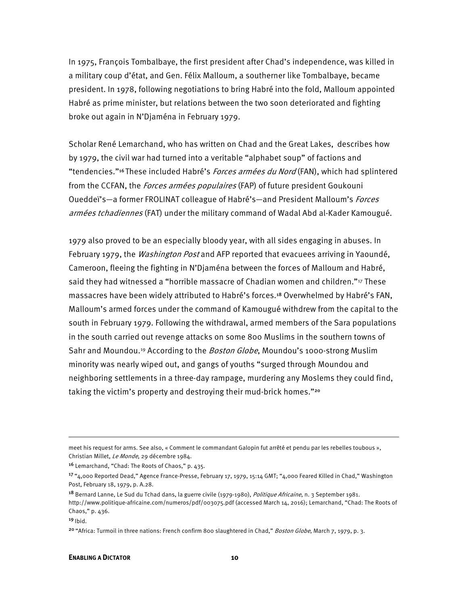In 1975, François Tombalbaye, the first president after Chad's independence, was killed in a military coup d'état, and Gen. Félix Malloum, a southerner like Tombalbaye, became president. In 1978, following negotiations to bring Habré into the fold, Malloum appointed Habré as prime minister, but relations between the two soon deteriorated and fighting broke out again in N'Djaména in February 1979.

Scholar René Lemarchand, who has written on Chad and the Great Lakes, describes how by 1979, the civil war had turned into a veritable "alphabet soup" of factions and "tendencies."<sup>16</sup> These included Habré's *Forces armées du Nord* (FAN), which had splintered from the CCFAN, the Forces armées populaires (FAP) of future president Goukouni Oueddeï's—a former FROLINAT colleague of Habré's—and President Malloum's *Forces* armées tchadiennes (FAT) under the military command of Wadal Abd al-Kader Kamougué.

1979 also proved to be an especially bloody year, with all sides engaging in abuses. In February 1979, the *Washington Post* and AFP reported that evacuees arriving in Yaoundé, Cameroon, fleeing the fighting in N'Djaména between the forces of Malloum and Habré, said they had witnessed a "horrible massacre of Chadian women and children."<sup>17</sup> These massacres have been widely attributed to Habré's forces.18 Overwhelmed by Habré's FAN, Malloum's armed forces under the command of Kamougué withdrew from the capital to the south in February 1979. Following the withdrawal, armed members of the Sara populations in the south carried out revenge attacks on some 800 Muslims in the southern towns of Sahr and Moundou.<sup>19</sup> According to the *Boston Globe*, Moundou's 1000-strong Muslim minority was nearly wiped out, and gangs of youths "surged through Moundou and neighboring settlements in a three-day rampage, murdering any Moslems they could find, taking the victim's property and destroying their mud-brick homes."<sup>20</sup>

**.** 

meet his request for arms. See also, « Comment le commandant Galopin fut arrêté et pendu par les rebelles toubous », Christian Millet, Le Monde, 29 décembre 1984.

<sup>16</sup> Lemarchand, "Chad: The Roots of Chaos," p. 435.

<sup>17</sup>"4,000 Reported Dead," Agence France-Presse, February 17, 1979, 15:14 GMT; "4,000 Feared Killed in Chad," Washington Post, February 18, 1979, p. A.28.

<sup>&</sup>lt;sup>18</sup> Bernard Lanne, Le Sud du Tchad dans, la guerre civile (1979-1980), Politique Africaine, n. 3 September 1981. http://www.politique-africaine.com/numeros/pdf/003075.pdf (accessed March 14, 2016); Lemarchand, "Chad: The Roots of Chaos," p. 436.

 $19$  Ibid.

<sup>&</sup>lt;sup>20</sup> "Africa: Turmoil in three nations: French confirm 800 slaughtered in Chad," Boston Globe, March 7, 1979, p. 3.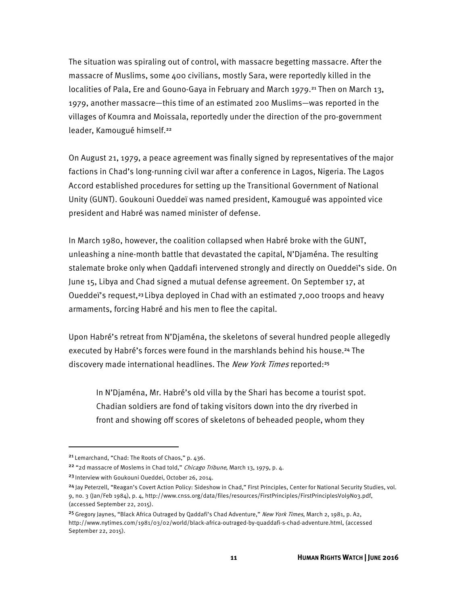The situation was spiraling out of control, with massacre begetting massacre. After the massacre of Muslims, some 400 civilians, mostly Sara, were reportedly killed in the localities of Pala, Ere and Gouno-Gaya in February and March 1979.<sup>21</sup> Then on March 13, 1979, another massacre—this time of an estimated 200 Muslims—was reported in the villages of Koumra and Moissala, reportedly under the direction of the pro-government leader, Kamougué himself.<sup>22</sup>

On August 21, 1979, a peace agreement was finally signed by representatives of the major factions in Chad's long-running civil war after a conference in Lagos, Nigeria. The Lagos Accord established procedures for setting up the Transitional Government of National Unity (GUNT). Goukouni Oueddeï was named president, Kamougué was appointed vice president and Habré was named minister of defense.

In March 1980, however, the coalition collapsed when Habré broke with the GUNT, unleashing a nine-month battle that devastated the capital, N'Djaména. The resulting stalemate broke only when Qaddafi intervened strongly and directly on Oueddeï's side. On June 15, Libya and Chad signed a mutual defense agreement. On September 17, at Oueddeï's request,23 Libya deployed in Chad with an estimated 7,000 troops and heavy armaments, forcing Habré and his men to flee the capital.

Upon Habré's retreat from N'Djaména, the skeletons of several hundred people allegedly executed by Habré's forces were found in the marshlands behind his house.24 The discovery made international headlines. The New York Times reported:<sup>25</sup>

In N'Djaména, Mr. Habré's old villa by the Shari has become a tourist spot. Chadian soldiers are fond of taking visitors down into the dry riverbed in front and showing off scores of skeletons of beheaded people, whom they

<sup>21</sup>Lemarchand, "Chad: The Roots of Chaos," p. 436.

<sup>&</sup>lt;sup>22</sup> "2d massacre of Moslems in Chad told," Chicago Tribune, March 13, 1979, p. 4.

<sup>&</sup>lt;sup>23</sup> Interview with Goukouni Oueddei, October 26, 2014.

<sup>&</sup>lt;sup>24</sup> Jay Peterzell, "Reagan's Covert Action Policy: Sideshow in Chad," First Principles, Center for National Security Studies, vol. 9, no. 3 (Jan/Feb 1984), p. 4, http://www.cnss.org/data/files/resources/FirstPrinciples/FirstPrinciplesVol9No3.pdf, (accessed September 22, 2015).

<sup>&</sup>lt;sup>25</sup> Gregory Jaynes, "Black Africa Outraged by Qaddafi's Chad Adventure," New York Times, March 2, 1981, p. A2, http://www.nytimes.com/1981/03/02/world/black-africa-outraged-by-quaddafi-s-chad-adventure.html, (accessed September 22, 2015).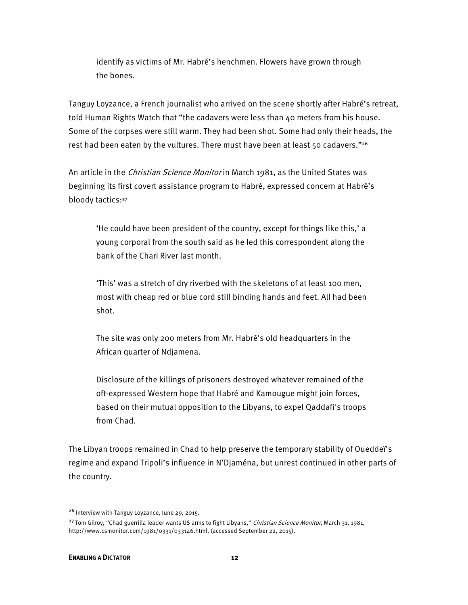identify as victims of Mr. Habré's henchmen. Flowers have grown through the bones.

Tanguy Loyzance, a French journalist who arrived on the scene shortly after Habré's retreat, told Human Rights Watch that "the cadavers were less than 40 meters from his house. Some of the corpses were still warm. They had been shot. Some had only their heads, the rest had been eaten by the vultures. There must have been at least 50 cadavers."<sup>26</sup>

An article in the *Christian Science Monitor* in March 1981, as the United States was beginning its first covert assistance program to Habré, expressed concern at Habré's bloody tactics:<sup>27</sup>

'He could have been president of the country, except for things like this,' a young corporal from the south said as he led this correspondent along the bank of the Chari River last month.

'This' was a stretch of dry riverbed with the skeletons of at least 100 men, most with cheap red or blue cord still binding hands and feet. All had been shot.

The site was only 200 meters from Mr. Habré's old headquarters in the African quarter of Ndjamena.

Disclosure of the killings of prisoners destroyed whatever remained of the oft-expressed Western hope that Habré and Kamougue might join forces, based on their mutual opposition to the Libyans, to expel Qaddafi's troops from Chad.

The Libyan troops remained in Chad to help preserve the temporary stability of Oueddeï's regime and expand Tripoli's influence in N'Djaména, but unrest continued in other parts of the country.

<sup>26</sup> Interview with Tanguy Loyzance, June 29, 2015.

<sup>&</sup>lt;sup>27</sup> Tom Gilroy, "Chad guerrilla leader wants US arms to fight Libyans," Christian Science Monitor, March 31, 1981, http://www.csmonitor.com/1981/0331/033146.html, (accessed September 22, 2015).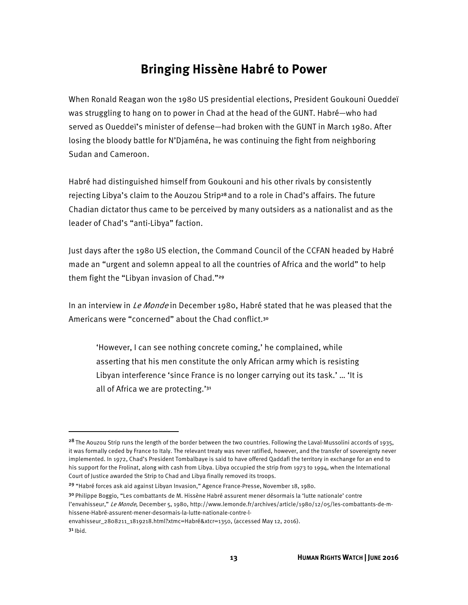# **Bringing Hissène Habré to Power**

When Ronald Reagan won the 1980 US presidential elections, President Goukouni Oueddeï was struggling to hang on to power in Chad at the head of the GUNT. Habré—who had served as Oueddeï's minister of defense—had broken with the GUNT in March 1980. After losing the bloody battle for N'Djaména, he was continuing the fight from neighboring Sudan and Cameroon.

Habré had distinguished himself from Goukouni and his other rivals by consistently rejecting Libya's claim to the Aouzou Strip<sup>28</sup> and to a role in Chad's affairs. The future Chadian dictator thus came to be perceived by many outsiders as a nationalist and as the leader of Chad's "anti-Libya" faction.

Just days after the 1980 US election, the Command Council of the CCFAN headed by Habré made an "urgent and solemn appeal to all the countries of Africa and the world" to help them fight the "Libyan invasion of Chad."<sup>29</sup>

In an interview in *Le Monde* in December 1980, Habré stated that he was pleased that the Americans were "concerned" about the Chad conflict.<sup>30</sup>

'However, I can see nothing concrete coming,' he complained, while asserting that his men constitute the only African army which is resisting Libyan interference 'since France is no longer carrying out its task.' … 'It is all of Africa we are protecting.'<sup>31</sup>

<sup>&</sup>lt;sup>28</sup> The Aouzou Strip runs the length of the border between the two countries. Following the Laval-Mussolini accords of 1935, it was formally ceded by France to Italy. The relevant treaty was never ratified, however, and the transfer of sovereignty never implemented. In 1972, Chad's President Tombalbaye is said to have offered Qaddafi the territory in exchange for an end to his support for the Frolinat, along with cash from Libya. Libya occupied the strip from 1973 to 1994, when the International Court of Justice awarded the Strip to Chad and Libya finally removed its troops.

<sup>29</sup> "Habré forces ask aid against Libyan Invasion," Agence France-Presse, November 18, 1980.

<sup>3</sup>º Philippe Boggio, "Les combattants de M. Hissène Habré assurent mener désormais la 'lutte nationale' contre l'envahisseur," Le Monde, December 5, 1980, http://www.lemonde.fr/archives/article/1980/12/05/les-combattants-de-mhissene-Habré-assurent-mener-desormais-la-lutte-nationale-contre-l-

envahisseur\_2808211\_1819218.html?xtmc=Habré&xtcr=1350, (accessed May 12, 2016).

 $3<sup>1</sup>$  lbid.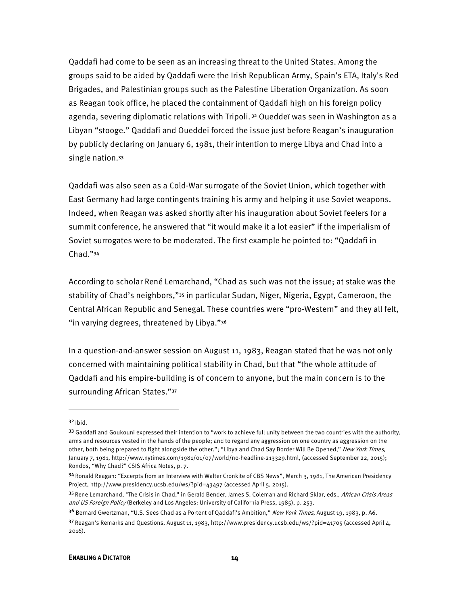Qaddafi had come to be seen as an increasing threat to the United States. Among the groups said to be aided by Qaddafi were the Irish Republican Army, Spain's ETA, Italy's Red Brigades, and Palestinian groups such as the Palestine Liberation Organization. As soon as Reagan took office, he placed the containment of Qaddafi high on his foreign policy agenda, severing diplomatic relations with Tripoli. 32 Oueddeï was seen in Washington as a Libyan "stooge." Qaddafi and Oueddeï forced the issue just before Reagan's inauguration by publicly declaring on January 6, 1981, their intention to merge Libya and Chad into a single nation.<sup>33</sup>

Qaddafi was also seen as a Cold-War surrogate of the Soviet Union, which together with East Germany had large contingents training his army and helping it use Soviet weapons. Indeed, when Reagan was asked shortly after his inauguration about Soviet feelers for a summit conference, he answered that "it would make it a lot easier" if the imperialism of Soviet surrogates were to be moderated. The first example he pointed to: "Qaddafi in Chad."<sup>34</sup>

According to scholar René Lemarchand, "Chad as such was not the issue; at stake was the stability of Chad's neighbors,"35 in particular Sudan, Niger, Nigeria, Egypt, Cameroon, the Central African Republic and Senegal. These countries were "pro-Western" and they all felt, "in varying degrees, threatened by Libya."<sup>36</sup>

In a question-and-answer session on August 11, 1983, Reagan stated that he was not only concerned with maintaining political stability in Chad, but that "the whole attitude of Qaddafi and his empire-building is of concern to anyone, but the main concern is to the surrounding African States."<sup>37</sup>

 $3<sup>2</sup>$  lbid.

<sup>33</sup> Gaddafi and Goukouni expressed their intention to "work to achieve full unity between the two countries with the authority, arms and resources vested in the hands of the people; and to regard any aggression on one country as aggression on the other, both being prepared to fight alongside the other."; "Libya and Chad Say Border Will Be Opened," New York Times, January 7, 1981, http://www.nytimes.com/1981/01/07/world/no-headline-213329.html, (accessed September 22, 2015); Rondos, "Why Chad?" CSIS Africa Notes, p. 7.

<sup>34</sup> Ronald Reagan: "Excerpts from an Interview with Walter Cronkite of CBS News", March 3, 1981, The American Presidency Project, http://www.presidency.ucsb.edu/ws/?pid=43497 (accessed April 5, 2015).

<sup>35</sup> Rene Lemarchand, "The Crisis in Chad," in Gerald Bender, James S. Coleman and Richard Sklar, eds., African Crisis Areas and US Foreign Policy (Berkeley and Los Angeles: University of California Press, 1985), p. 253.

<sup>36</sup> Bernard Gwertzman, "U.S. Sees Chad as a Portent of Qaddafi's Ambition," New York Times, August 19, 1983, p. A6.

<sup>37</sup>Reagan's Remarks and Questions, August 11, 1983, http://www.presidency.ucsb.edu/ws/?pid=41705 (accessed April 4, 2016).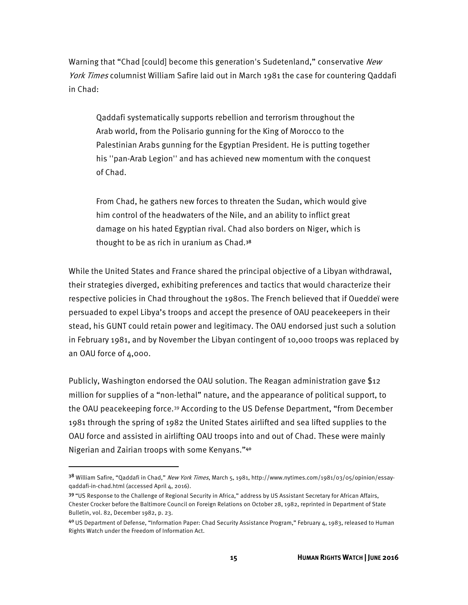Warning that "Chad [could] become this generation's Sudetenland," conservative New York Times columnist William Safire laid out in March 1981 the case for countering Qaddafi in Chad:

Qaddafi systematically supports rebellion and terrorism throughout the Arab world, from the Polisario gunning for the King of Morocco to the Palestinian Arabs gunning for the Egyptian President. He is putting together his ''pan-Arab Legion'' and has achieved new momentum with the conquest of Chad.

From Chad, he gathers new forces to threaten the Sudan, which would give him control of the headwaters of the Nile, and an ability to inflict great damage on his hated Egyptian rival. Chad also borders on Niger, which is thought to be as rich in uranium as Chad.<sup>38</sup>

While the United States and France shared the principal objective of a Libyan withdrawal, their strategies diverged, exhibiting preferences and tactics that would characterize their respective policies in Chad throughout the 1980s. The French believed that if Oueddeï were persuaded to expel Libya's troops and accept the presence of OAU peacekeepers in their stead, his GUNT could retain power and legitimacy. The OAU endorsed just such a solution in February 1981, and by November the Libyan contingent of 10,000 troops was replaced by an OAU force of 4,000.

Publicly, Washington endorsed the OAU solution. The Reagan administration gave \$12 million for supplies of a "non-lethal" nature, and the appearance of political support, to the OAU peacekeeping force.39 According to the US Defense Department, "from December 1981 through the spring of 1982 the United States airlifted and sea lifted supplies to the OAU force and assisted in airlifting OAU troops into and out of Chad. These were mainly Nigerian and Zairian troops with some Kenyans."<sup>40</sup>

<sup>38</sup> William Safire, "Qaddafi in Chad," New York Times, March 5, 1981, http://www.nytimes.com/1981/03/05/opinion/essayqaddafi-in-chad.html (accessed April 4, 2016).

<sup>39 &</sup>quot;US Response to the Challenge of Regional Security in Africa," address by US Assistant Secretary for African Affairs, Chester Crocker before the Baltimore Council on Foreign Relations on October 28, 1982, reprinted in Department of State Bulletin, vol. 82, December 1982, p. 23.

<sup>40</sup>US Department of Defense, "Information Paper: Chad Security Assistance Program," February 4, 1983, released to Human Rights Watch under the Freedom of Information Act.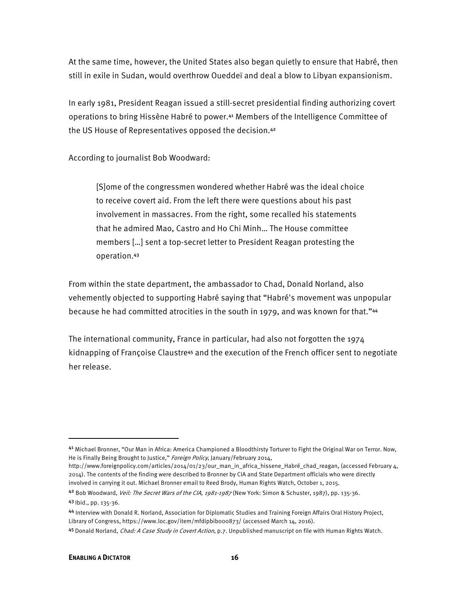At the same time, however, the United States also began quietly to ensure that Habré, then still in exile in Sudan, would overthrow Oueddeï and deal a blow to Libyan expansionism.

In early 1981, President Reagan issued a still-secret presidential finding authorizing covert operations to bring Hissène Habré to power.41 Members of the Intelligence Committee of the US House of Representatives opposed the decision.<sup>42</sup>

According to journalist Bob Woodward:

[S]ome of the congressmen wondered whether Habré was the ideal choice to receive covert aid. From the left there were questions about his past involvement in massacres. From the right, some recalled his statements that he admired Mao, Castro and Ho Chi Minh… The House committee members […] sent a top-secret letter to President Reagan protesting the operation.<sup>43</sup>

From within the state department, the ambassador to Chad, Donald Norland, also vehemently objected to supporting Habré saying that "Habré's movement was unpopular because he had committed atrocities in the south in 1979, and was known for that."<sup>44</sup>

The international community, France in particular, had also not forgotten the 1974 kidnapping of Françoise Claustre45 and the execution of the French officer sent to negotiate her release.

<sup>4&</sup>lt;sup>1</sup> Michael Bronner, "Our Man in Africa: America Championed a Bloodthirsty Torturer to Fight the Original War on Terror. Now, He is Finally Being Brought to Justice," Foreign Policy, January/February 2014,

http://www.foreignpolicy.com/articles/2014/01/23/our\_man\_in\_africa\_hissene\_Habré\_chad\_reagan, (accessed February 4, 2014). The contents of the finding were described to Bronner by CIA and State Department officials who were directly involved in carrying it out. Michael Bronner email to Reed Brody, Human Rights Watch, October 1, 2015.

<sup>42</sup> Bob Woodward, Veil: The Secret Wars of the CIA, 1981-1987 (New York: Simon & Schuster, 1987), pp. 135-36. 43 Ibid., pp. 135-36.

<sup>44</sup> Interview with Donald R. Norland, Association for Diplomatic Studies and Training Foreign Affairs Oral History Project, Library of Congress, https://www.loc.gov/item/mfdipbib000873/ (accessed March 14, 2016).

<sup>45</sup> Donald Norland, Chad: A Case Study in Covert Action, p.7. Unpublished manuscript on file with Human Rights Watch.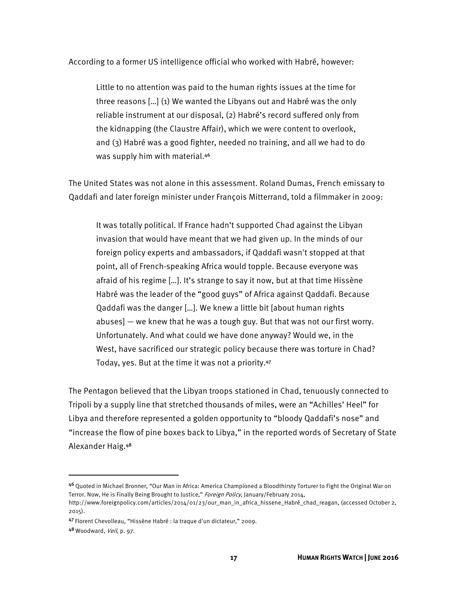According to a former US intelligence official who worked with Habré, however:

Little to no attention was paid to the human rights issues at the time for three reasons […] (1) We wanted the Libyans out and Habré was the only reliable instrument at our disposal, (2) Habré's record suffered only from the kidnapping (the Claustre Affair), which we were content to overlook, and (3) Habré was a good fighter, needed no training, and all we had to do was supply him with material.<sup>46</sup>

The United States was not alone in this assessment. Roland Dumas, French emissary to Qaddafi and later foreign minister under François Mitterrand, told a filmmaker in 2009:

It was totally political. If France hadn't supported Chad against the Libyan invasion that would have meant that we had given up. In the minds of our foreign policy experts and ambassadors, if Qaddafi wasn't stopped at that point, all of French-speaking Africa would topple. Because everyone was afraid of his regime […]. It's strange to say it now, but at that time Hissène Habré was the leader of the "good guys" of Africa against Qaddafi. Because Qaddafi was the danger […]. We knew a little bit [about human rights abuses] — we knew that he was a tough guy. But that was not our first worry. Unfortunately. And what could we have done anyway? Would we, in the West, have sacrificed our strategic policy because there was torture in Chad? Today, yes. But at the time it was not a priority.<sup>47</sup>

The Pentagon believed that the Libyan troops stationed in Chad, tenuously connected to Tripoli by a supply line that stretched thousands of miles, were an "Achilles' Heel" for Libya and therefore represented a golden opportunity to "bloody Qaddafi's nose" and "increase the flow of pine boxes back to Libya," in the reported words of Secretary of State Alexander Haig.<sup>48</sup>

<sup>46</sup> Quoted in Michael Bronner, "Our Man in Africa: America Championed a Bloodthirsty Torturer to Fight the Original War on Terror. Now, He is Finally Being Brought to Justice," Foreign Policy, January/February 2014,

http://www.foreignpolicy.com/articles/2014/01/23/our\_man\_in\_africa\_hissene\_Habré\_chad\_reagan, (accessed October 2, 2015).

<sup>47</sup>Florent Chevolleau, "Hissène Habré : la traque d'un dictateur," 2009.

<sup>48</sup> Woodward, Veil, p. 97.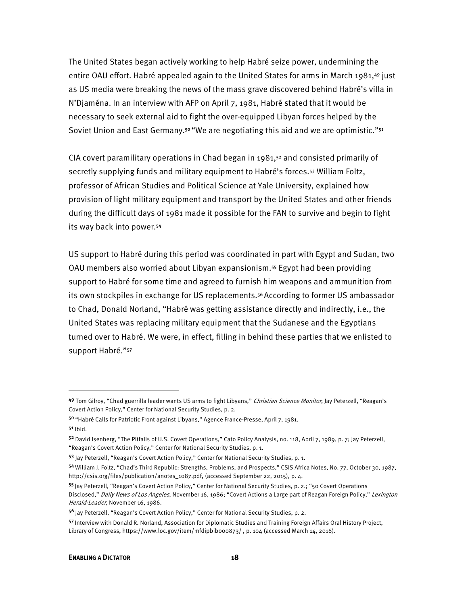The United States began actively working to help Habré seize power, undermining the entire OAU effort. Habré appealed again to the United States for arms in March 1981,49 just as US media were breaking the news of the mass grave discovered behind Habré's villa in N'Djaména. In an interview with AFP on April 7, 1981, Habré stated that it would be necessary to seek external aid to fight the over-equipped Libyan forces helped by the Soviet Union and East Germany.<sup>50</sup> "We are negotiating this aid and we are optimistic."<sup>51</sup>

CIA covert paramilitary operations in Chad began in 1981, $52$  and consisted primarily of secretly supplying funds and military equipment to Habré's forces.53 William Foltz, professor of African Studies and Political Science at Yale University, explained how provision of light military equipment and transport by the United States and other friends during the difficult days of 1981 made it possible for the FAN to survive and begin to fight its way back into power.<sup>54</sup>

US support to Habré during this period was coordinated in part with Egypt and Sudan, two OAU members also worried about Libyan expansionism.55 Egypt had been providing support to Habré for some time and agreed to furnish him weapons and ammunition from its own stockpiles in exchange for US replacements.<sup>56</sup> According to former US ambassador to Chad, Donald Norland, "Habré was getting assistance directly and indirectly, i.e., the United States was replacing military equipment that the Sudanese and the Egyptians turned over to Habré. We were, in effect, filling in behind these parties that we enlisted to support Habré."<sup>57</sup>

<sup>49</sup> Tom Gilroy, "Chad guerrilla leader wants US arms to fight Libyans," Christian Science Monitor; Jay Peterzell, "Reagan's Covert Action Policy," Center for National Security Studies, p. 2.

<sup>50 &</sup>quot;Habré Calls for Patriotic Front against Libyans," Agence France-Presse, April 7, 1981.  $5<sup>1</sup>$  Ibid.

<sup>52</sup> David Isenberg, "The Pitfalls of U.S. Covert Operations," Cato Policy Analysis, no. 118, April 7, 1989, p. 7; Jay Peterzell, "Reagan's Covert Action Policy," Center for National Security Studies, p. 1.

<sup>53</sup> Jay Peterzell, "Reagan's Covert Action Policy," Center for National Security Studies, p. 1.

<sup>54</sup>William J. Foltz, "Chad's Third Republic: Strengths, Problems, and Prospects," CSIS Africa Notes, No. 77, October 30, 1987, http://csis.org/files/publication/anotes\_1087.pdf, (accessed September 22, 2015), p. 4.

<sup>55</sup>Jay Peterzell, "Reagan's Covert Action Policy," Center for National Security Studies, p. 2.; "50 Covert Operations Disclosed," Daily News of Los Angeles, November 16, 1986; "Covert Actions a Large part of Reagan Foreign Policy," Lexington Herald-Leader, November 16, 1986.

<sup>56</sup> Jay Peterzell, "Reagan's Covert Action Policy," Center for National Security Studies, p. 2.

<sup>57</sup> Interview with Donald R. Norland, Association for Diplomatic Studies and Training Foreign Affairs Oral History Project, Library of Congress, https://www.loc.gov/item/mfdipbibooo873/, p. 104 (accessed March 14, 2016).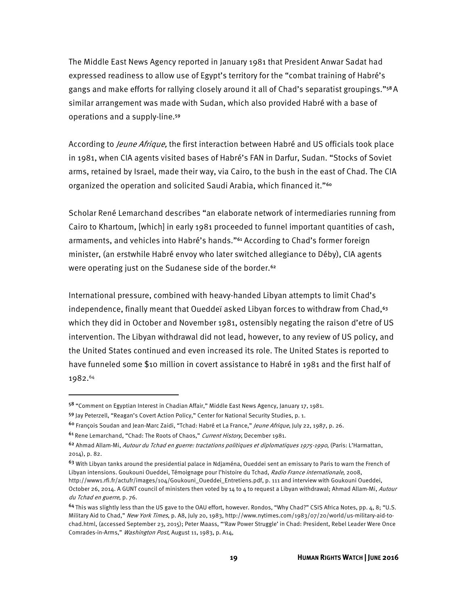The Middle East News Agency reported in January 1981 that President Anwar Sadat had expressed readiness to allow use of Egypt's territory for the "combat training of Habré's gangs and make efforts for rallying closely around it all of Chad's separatist groupings."58 A similar arrangement was made with Sudan, which also provided Habré with a base of operations and a supply-line.<sup>59</sup>

According to *Jeune Afrique*, the first interaction between Habré and US officials took place in 1981, when CIA agents visited bases of Habré's FAN in Darfur, Sudan. "Stocks of Soviet arms, retained by Israel, made their way, via Cairo, to the bush in the east of Chad. The CIA organized the operation and solicited Saudi Arabia, which financed it."<sup>60</sup>

Scholar René Lemarchand describes "an elaborate network of intermediaries running from Cairo to Khartoum, [which] in early 1981 proceeded to funnel important quantities of cash, armaments, and vehicles into Habré's hands."61 According to Chad's former foreign minister, (an erstwhile Habré envoy who later switched allegiance to Déby), CIA agents were operating just on the Sudanese side of the border.<sup>62</sup>

International pressure, combined with heavy-handed Libyan attempts to limit Chad's independence, finally meant that Oueddeï asked Libyan forces to withdraw from Chad, $63$ which they did in October and November 1981, ostensibly negating the raison d'etre of US intervention. The Libyan withdrawal did not lead, however, to any review of US policy, and the United States continued and even increased its role. The United States is reported to have funneled some \$10 million in covert assistance to Habré in 1981 and the first half of 1982.64

<sup>58 &</sup>quot;Comment on Egyptian Interest in Chadian Affair," Middle East News Agency, January 17, 1981.

<sup>59</sup> Jay Peterzell, "Reagan's Covert Action Policy," Center for National Security Studies, p. 1.

<sup>&</sup>lt;sup>60</sup> François Soudan and Jean-Marc Zaidi, "Tchad: Habré et La France," Jeune Afrique, July 22, 1987, p. 26.

<sup>&</sup>lt;sup>61</sup> Rene Lemarchand, "Chad: The Roots of Chaos," Current History, December 1981.

<sup>62</sup> Ahmad Allam-Mi, Autour du Tchad en guerre: tractations politiques et diplomatiques 1975-1990, (Paris: L'Harmattan, 2014), p. 82.

<sup>&</sup>lt;sup>63</sup> With Libyan tanks around the presidential palace in Ndjaména, Oueddei sent an emissary to Paris to warn the French of Libyan intensions. Goukouni Oueddei, Témoignage pour l'histoire du Tchad, Radio France internationale, 2008, http://www1.rfi.fr/actufr/images/104/Goukouni\_Oueddei\_Entretiens.pdf, p. 111 and interview with Goukouni Oueddei, October 26, 2014. A GUNT council of ministers then voted by 14 to 4 to request a Libyan withdrawal; Ahmad Allam-Mi, Autour du Tchad en guerre, p. 76.

<sup>64</sup>This was slightly less than the US gave to the OAU effort, however. Rondos, "Why Chad?" CSIS Africa Notes, pp. 4, 8; "U.S. Military Aid to Chad," New York Times, p. A8, July 20, 1983, http://www.nytimes.com/1983/07/20/world/us-military-aid-tochad.html, (accessed September 23, 2015); Peter Maass, "'Raw Power Struggle' in Chad: President, Rebel Leader Were Once Comrades-in-Arms," Washington Post, August 11, 1983, p. A14,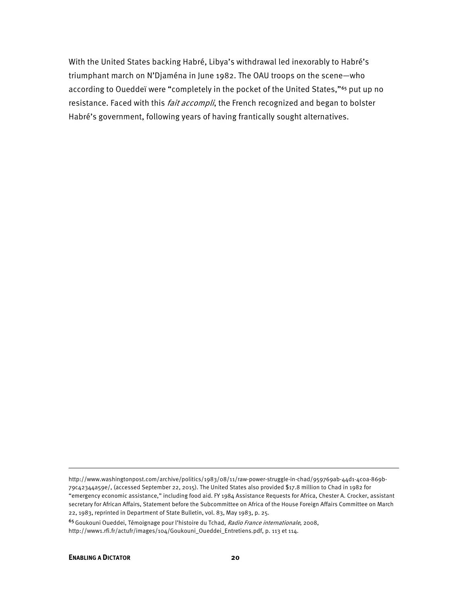With the United States backing Habré, Libya's withdrawal led inexorably to Habré's triumphant march on N'Djaména in June 1982. The OAU troops on the scene—who according to Oueddeï were "completely in the pocket of the United States,"<sup>65</sup> put up no resistance. Faced with this *fait accompli*, the French recognized and began to bolster Habré's government, following years of having frantically sought alternatives.

<sup>65</sup>Goukouni Oueddei, Témoignage pour l'histoire du Tchad, Radio France internationale, 2008,

http://www1.rfi.fr/actufr/images/104/Goukouni\_Oueddei\_Entretiens.pdf, p. 113 et 114.

**.** 

http://www.washingtonpost.com/archive/politics/1983/08/11/raw-power-struggle-in-chad/959769ab-44d1-4c0a-869b-79c42344a59e/, (accessed September 22, 2015). The United States also provided \$17.8 million to Chad in 1982 for "emergency economic assistance," including food aid. FY 1984 Assistance Requests for Africa, Chester A. Crocker, assistant secretary for African Affairs, Statement before the Subcommittee on Africa of the House Foreign Affairs Committee on March 22, 1983, reprinted in Department of State Bulletin, vol. 83, May 1983, p. 25.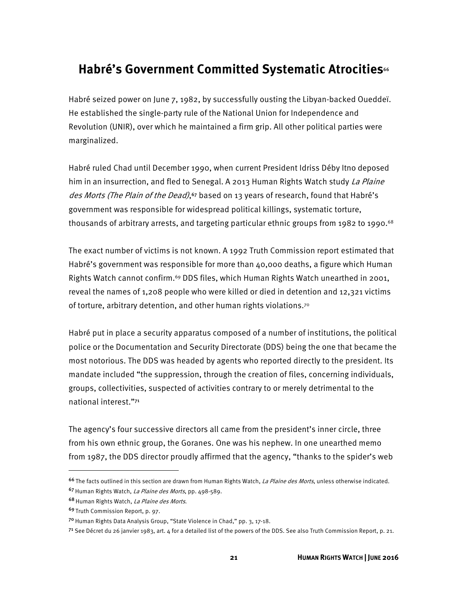# **Habré's Government Committed Systematic Atrocities**<sup>66</sup>

Habré seized power on June 7, 1982, by successfully ousting the Libyan-backed Oueddeï. He established the single-party rule of the National Union for Independence and Revolution (UNIR), over which he maintained a firm grip. All other political parties were marginalized.

Habré ruled Chad until December 1990, when current President Idriss Déby Itno deposed him in an insurrection, and fled to Senegal. A 2013 Human Rights Watch study La Plaine des Morts (The Plain of the Dead),<sup>67</sup> based on 13 years of research, found that Habré's government was responsible for widespread political killings, systematic torture, thousands of arbitrary arrests, and targeting particular ethnic groups from 1982 to 1990.<sup>68</sup>

The exact number of victims is not known. A 1992 Truth Commission report estimated that Habré's government was responsible for more than 40,000 deaths, a figure which Human Rights Watch cannot confirm.69 DDS files, which Human Rights Watch unearthed in 2001, reveal the names of 1,208 people who were killed or died in detention and 12,321 victims of torture, arbitrary detention, and other human rights violations.70

Habré put in place a security apparatus composed of a number of institutions, the political police or the Documentation and Security Directorate (DDS) being the one that became the most notorious. The DDS was headed by agents who reported directly to the president. Its mandate included "the suppression, through the creation of files, concerning individuals, groups, collectivities, suspected of activities contrary to or merely detrimental to the national interest."<sup>71</sup>

The agency's four successive directors all came from the president's inner circle, three from his own ethnic group, the Goranes. One was his nephew. In one unearthed memo from 1987, the DDS director proudly affirmed that the agency, "thanks to the spider's web

<sup>&</sup>lt;sup>66</sup>The facts outlined in this section are drawn from Human Rights Watch, *La Plaine des Morts*, unless otherwise indicated.

<sup>67</sup> Human Rights Watch, La Plaine des Morts, pp. 498-589.

<sup>68</sup> Human Rights Watch, La Plaine des Morts.

<sup>69</sup>Truth Commission Report, p. 97.

<sup>7</sup>º Human Rights Data Analysis Group, "State Violence in Chad," pp. 3, 17-18.

<sup>71</sup> See Décret du 26 janvier 1983, art. 4 for a detailed list of the powers of the DDS. See also Truth Commission Report, p. 21.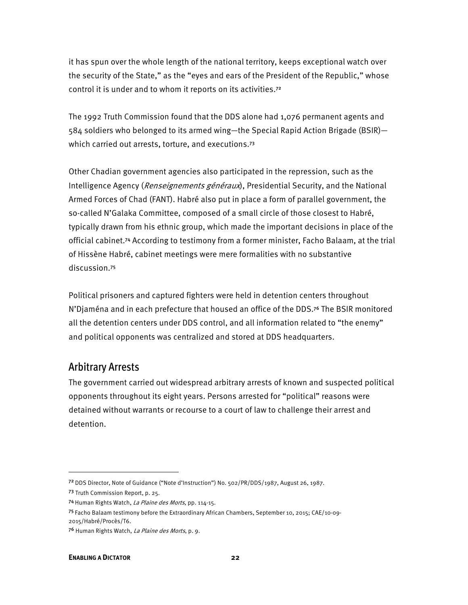it has spun over the whole length of the national territory, keeps exceptional watch over the security of the State," as the "eyes and ears of the President of the Republic," whose control it is under and to whom it reports on its activities.<sup>72</sup>

The 1992 Truth Commission found that the DDS alone had 1,076 permanent agents and 584 soldiers who belonged to its armed wing—the Special Rapid Action Brigade (BSIR) which carried out arrests, torture, and executions.<sup>73</sup>

Other Chadian government agencies also participated in the repression, such as the Intelligence Agency (*Renseignements généraux*), Presidential Security, and the National Armed Forces of Chad (FANT). Habré also put in place a form of parallel government, the so-called N'Galaka Committee, composed of a small circle of those closest to Habré, typically drawn from his ethnic group, which made the important decisions in place of the official cabinet.74 According to testimony from a former minister, Facho Balaam, at the trial of Hissène Habré, cabinet meetings were mere formalities with no substantive discussion.<sup>75</sup>

Political prisoners and captured fighters were held in detention centers throughout N'Djaména and in each prefecture that housed an office of the DDS.76 The BSIR monitored all the detention centers under DDS control, and all information related to "the enemy" and political opponents was centralized and stored at DDS headquarters.

#### Arbitrary Arrests

The government carried out widespread arbitrary arrests of known and suspected political opponents throughout its eight years. Persons arrested for "political" reasons were detained without warrants or recourse to a court of law to challenge their arrest and detention.

<sup>72</sup>DDS Director, Note of Guidance ("Note d'Instruction") No. 502/PR/DDS/1987, August 26, 1987.

<sup>73</sup> Truth Commission Report, p. 25.

<sup>74</sup> Human Rights Watch, La Plaine des Morts, pp. 114-15.

<sup>75</sup>Facho Balaam testimony before the Extraordinary African Chambers, September 10, 2015; CAE/10-09- 2015/Habré/Procès/T6.

<sup>76</sup> Human Rights Watch, La Plaine des Morts, p. 9.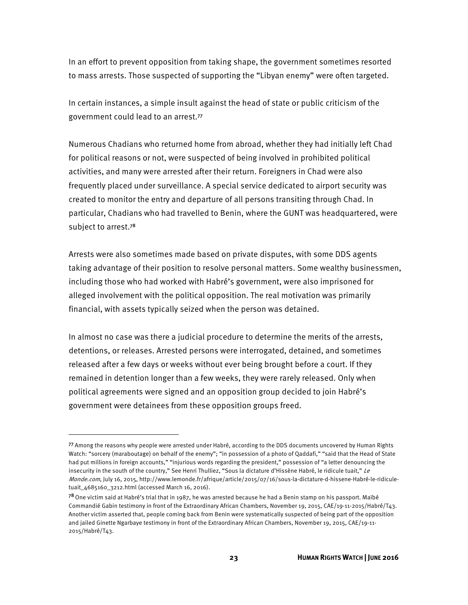In an effort to prevent opposition from taking shape, the government sometimes resorted to mass arrests. Those suspected of supporting the "Libyan enemy" were often targeted.

In certain instances, a simple insult against the head of state or public criticism of the government could lead to an arrest.<sup>77</sup>

Numerous Chadians who returned home from abroad, whether they had initially left Chad for political reasons or not, were suspected of being involved in prohibited political activities, and many were arrested after their return. Foreigners in Chad were also frequently placed under surveillance. A special service dedicated to airport security was created to monitor the entry and departure of all persons transiting through Chad. In particular, Chadians who had travelled to Benin, where the GUNT was headquartered, were subject to arrest.<sup>78</sup>

Arrests were also sometimes made based on private disputes, with some DDS agents taking advantage of their position to resolve personal matters. Some wealthy businessmen, including those who had worked with Habré's government, were also imprisoned for alleged involvement with the political opposition. The real motivation was primarily financial, with assets typically seized when the person was detained.

In almost no case was there a judicial procedure to determine the merits of the arrests, detentions, or releases. Arrested persons were interrogated, detained, and sometimes released after a few days or weeks without ever being brought before a court. If they remained in detention longer than a few weeks, they were rarely released. Only when political agreements were signed and an opposition group decided to join Habré's government were detainees from these opposition groups freed.

<sup>77</sup>Among the reasons why people were arrested under Habré, according to the DDS documents uncovered by Human Rights Watch: "sorcery (maraboutage) on behalf of the enemy"; "in possession of a photo of Qaddafi," "said that the Head of State had put millions in foreign accounts," "injurious words regarding the president," possession of "a letter denouncing the insecurity in the south of the country," See Henri Thulliez, "Sous la dictature d'Hissène Habré, le ridicule tuait," Le Monde.com, July 16, 2015, http://www.lemonde.fr/afrique/article/2015/07/16/sous-la-dictature-d-hissene-Habré-le-ridiculetuait\_4685160\_3212.html (accessed March 16, 2016).

<sup>78</sup> One victim said at Habré's trial that in 1987, he was arrested because he had a Benin stamp on his passport. Maïbé Commandié Gabin testimony in front of the Extraordinary African Chambers, November 19, 2015, CAE/19-11-2015/Habré/T43. Another victim asserted that, people coming back from Benin were systematically suspected of being part of the opposition and jailed Ginette Ngarbaye testimony in front of the Extraordinary African Chambers, November 19, 2015, CAE/19-11- 2015/Habré/T43.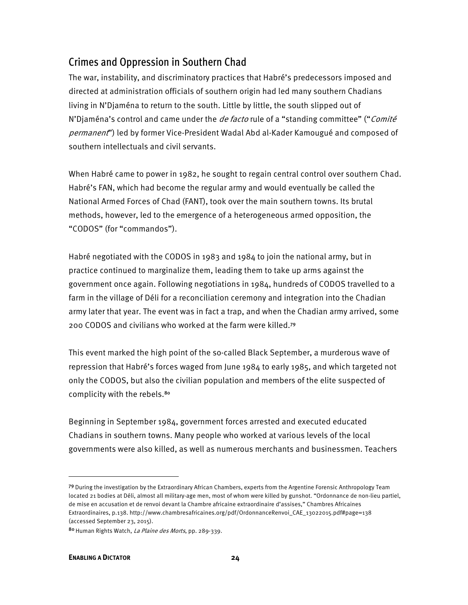## Crimes and Oppression in Southern Chad

The war, instability, and discriminatory practices that Habré's predecessors imposed and directed at administration officials of southern origin had led many southern Chadians living in N'Djaména to return to the south. Little by little, the south slipped out of N'Djaména's control and came under the *de facto* rule of a "standing committee" ("*Comité* permanent") led by former Vice-President Wadal Abd al-Kader Kamougué and composed of southern intellectuals and civil servants.

When Habré came to power in 1982, he sought to regain central control over southern Chad. Habré's FAN, which had become the regular army and would eventually be called the National Armed Forces of Chad (FANT), took over the main southern towns. Its brutal methods, however, led to the emergence of a heterogeneous armed opposition, the "CODOS" (for "commandos").

Habré negotiated with the CODOS in 1983 and 1984 to join the national army, but in practice continued to marginalize them, leading them to take up arms against the government once again. Following negotiations in 1984, hundreds of CODOS travelled to a farm in the village of Déli for a reconciliation ceremony and integration into the Chadian army later that year. The event was in fact a trap, and when the Chadian army arrived, some 200 CODOS and civilians who worked at the farm were killed.<sup>79</sup>

This event marked the high point of the so-called Black September, a murderous wave of repression that Habré's forces waged from June 1984 to early 1985, and which targeted not only the CODOS, but also the civilian population and members of the elite suspected of complicity with the rebels.<sup>80</sup>

Beginning in September 1984, government forces arrested and executed educated Chadians in southern towns. Many people who worked at various levels of the local governments were also killed, as well as numerous merchants and businessmen. Teachers

<sup>79</sup> During the investigation by the Extraordinary African Chambers, experts from the Argentine Forensic Anthropology Team located 21 bodies at Déli, almost all military-age men, most of whom were killed by gunshot. "Ordonnance de non-lieu partiel, de mise en accusation et de renvoi devant la Chambre africaine extraordinaire d'assises," Chambres Africaines Extraordinaires, p.138. http://www.chambresafricaines.org/pdf/OrdonnanceRenvoi\_CAE\_13022015.pdf#page=138 (accessed September 23, 2015).

<sup>80</sup> Human Rights Watch, La Plaine des Morts, pp. 289-339.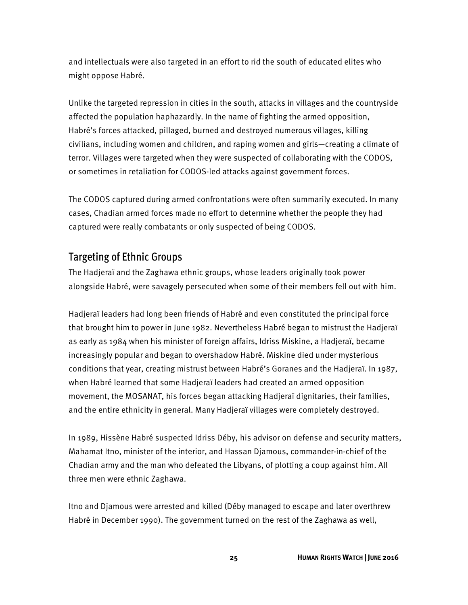and intellectuals were also targeted in an effort to rid the south of educated elites who might oppose Habré.

Unlike the targeted repression in cities in the south, attacks in villages and the countryside affected the population haphazardly. In the name of fighting the armed opposition, Habré's forces attacked, pillaged, burned and destroyed numerous villages, killing civilians, including women and children, and raping women and girls—creating a climate of terror. Villages were targeted when they were suspected of collaborating with the CODOS, or sometimes in retaliation for CODOS-led attacks against government forces.

The CODOS captured during armed confrontations were often summarily executed. In many cases, Chadian armed forces made no effort to determine whether the people they had captured were really combatants or only suspected of being CODOS.

#### Targeting of Ethnic Groups

The Hadjeraï and the Zaghawa ethnic groups, whose leaders originally took power alongside Habré, were savagely persecuted when some of their members fell out with him.

Hadjeraï leaders had long been friends of Habré and even constituted the principal force that brought him to power in June 1982. Nevertheless Habré began to mistrust the Hadjeraï as early as 1984 when his minister of foreign affairs, Idriss Miskine, a Hadjeraï, became increasingly popular and began to overshadow Habré. Miskine died under mysterious conditions that year, creating mistrust between Habré's Goranes and the Hadjeraï. In 1987, when Habré learned that some Hadjeraï leaders had created an armed opposition movement, the MOSANAT, his forces began attacking Hadjeraï dignitaries, their families, and the entire ethnicity in general. Many Hadjeraï villages were completely destroyed.

In 1989, Hissène Habré suspected Idriss Déby, his advisor on defense and security matters, Mahamat Itno, minister of the interior, and Hassan Djamous, commander-in-chief of the Chadian army and the man who defeated the Libyans, of plotting a coup against him. All three men were ethnic Zaghawa.

Itno and Djamous were arrested and killed (Déby managed to escape and later overthrew Habré in December 1990). The government turned on the rest of the Zaghawa as well,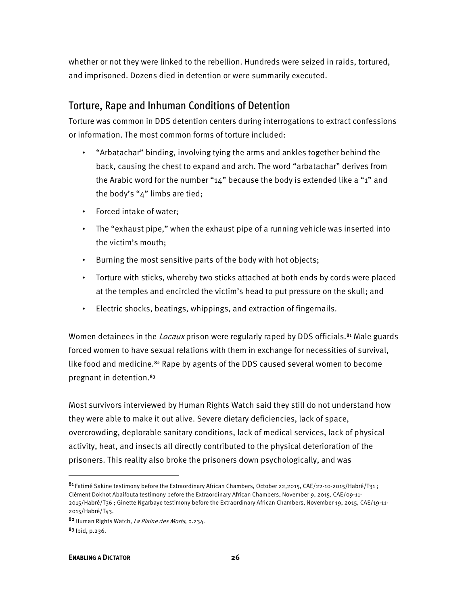whether or not they were linked to the rebellion. Hundreds were seized in raids, tortured, and imprisoned. Dozens died in detention or were summarily executed.

### Torture, Rape and Inhuman Conditions of Detention

Torture was common in DDS detention centers during interrogations to extract confessions or information. The most common forms of torture included:

- "Arbatachar" binding, involving tying the arms and ankles together behind the back, causing the chest to expand and arch. The word "arbatachar" derives from the Arabic word for the number "14" because the body is extended like a "1" and the body's "4" limbs are tied;
- Forced intake of water;
- The "exhaust pipe," when the exhaust pipe of a running vehicle was inserted into the victim's mouth;
- Burning the most sensitive parts of the body with hot objects;
- Torture with sticks, whereby two sticks attached at both ends by cords were placed at the temples and encircled the victim's head to put pressure on the skull; and
- Electric shocks, beatings, whippings, and extraction of fingernails.

Women detainees in the *Locaux* prison were regularly raped by DDS officials.<sup>81</sup> Male guards forced women to have sexual relations with them in exchange for necessities of survival, like food and medicine.82 Rape by agents of the DDS caused several women to become pregnant in detention.<sup>83</sup>

Most survivors interviewed by Human Rights Watch said they still do not understand how they were able to make it out alive. Severe dietary deficiencies, lack of space, overcrowding, deplorable sanitary conditions, lack of medical services, lack of physical activity, heat, and insects all directly contributed to the physical deterioration of the prisoners. This reality also broke the prisoners down psychologically, and was

<sup>81</sup> Fatimé Sakine testimony before the Extraordinary African Chambers, October 22,2015, CAE/22-10-2015/Habré/T31; Clément Dokhot Abaifouta testimony before the Extraordinary African Chambers, November 9, 2015, CAE/09-11- 2015/Habré/T36 ; Ginette Ngarbaye testimony before the Extraordinary African Chambers, November 19, 2015, CAE/19-11- 2015/Habré/T43.

<sup>82</sup> Human Rights Watch, La Plaine des Morts, p.234.

 $83$  lbid, p.236.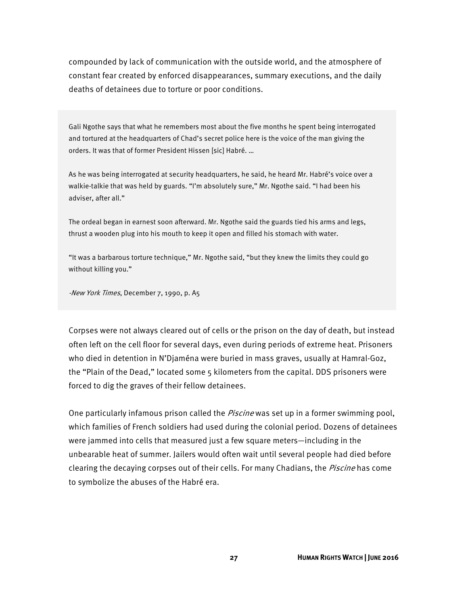compounded by lack of communication with the outside world, and the atmosphere of constant fear created by enforced disappearances, summary executions, and the daily deaths of detainees due to torture or poor conditions.

Gali Ngothe says that what he remembers most about the five months he spent being interrogated and tortured at the headquarters of Chad's secret police here is the voice of the man giving the orders. It was that of former President Hissen [sic] Habré. …

As he was being interrogated at security headquarters, he said, he heard Mr. Habré's voice over a walkie-talkie that was held by guards. "I'm absolutely sure," Mr. Ngothe said. "I had been his adviser, after all."

The ordeal began in earnest soon afterward. Mr. Ngothe said the guards tied his arms and legs, thrust a wooden plug into his mouth to keep it open and filled his stomach with water.

"It was a barbarous torture technique," Mr. Ngothe said, "but they knew the limits they could go without killing you."

-New York Times, December 7, 1990, p. A5

Corpses were not always cleared out of cells or the prison on the day of death, but instead often left on the cell floor for several days, even during periods of extreme heat. Prisoners who died in detention in N'Djaména were buried in mass graves, usually at Hamral-Goz, the "Plain of the Dead," located some 5 kilometers from the capital. DDS prisoners were forced to dig the graves of their fellow detainees.

One particularly infamous prison called the *Piscine* was set up in a former swimming pool, which families of French soldiers had used during the colonial period. Dozens of detainees were jammed into cells that measured just a few square meters—including in the unbearable heat of summer. Jailers would often wait until several people had died before clearing the decaying corpses out of their cells. For many Chadians, the *Piscine* has come to symbolize the abuses of the Habré era.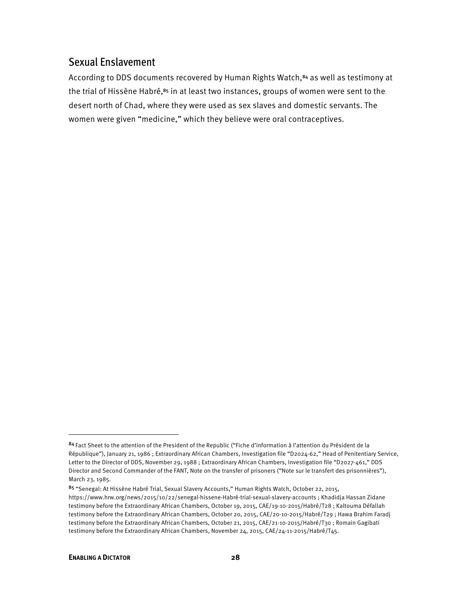#### Sexual Enslavement

According to DDS documents recovered by Human Rights Watch,<sup>84</sup> as well as testimony at the trial of Hissène Habré,<sup>85</sup> in at least two instances, groups of women were sent to the desert north of Chad, where they were used as sex slaves and domestic servants. The women were given "medicine," which they believe were oral contraceptives.

<sup>84</sup>Fact Sheet to the attention of the President of the Republic ("Fiche d'information à l'attention du Président de la République"), January 21, 1986 ; Extraordinary African Chambers, Investigation file "D2024-62," Head of Penitentiary Service, Letter to the Director of DDS, November 29, 1988 ; Extraordinary African Chambers, Investigation file "D2027-461," DDS Director and Second Commander of the FANT, Note on the transfer of prisoners ("Note sur le transfert des prisonnières"), March 23, 1985.

<sup>85</sup> "Senegal: At Hissène Habré Trial, Sexual Slavery Accounts," Human Rights Watch, October 22, 2015, https://www.hrw.org/news/2015/10/22/senegal-hissene-Habré-trial-sexual-slavery-accounts ; Khadidja Hassan Zidane testimony before the Extraordinary African Chambers, October 19, 2015, CAE/19-10-2015/Habré/T28 ; Kaltouma Défallah testimony before the Extraordinary African Chambers, October 20, 2015, CAE/20-10-2015/Habré/T29 ; Hawa Brahim Faradj testimony before the Extraordinary African Chambers, October 21, 2015, CAE/21-10-2015/Habré/T30 ; Romain Gagibati testimony before the Extraordinary African Chambers, November 24, 2015, CAE/24-11-2015/Habré/T45.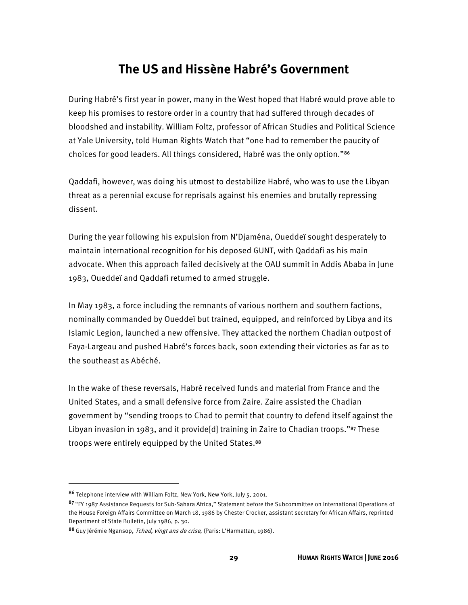# **The US and Hissène Habré's Government**

During Habré's first year in power, many in the West hoped that Habré would prove able to keep his promises to restore order in a country that had suffered through decades of bloodshed and instability. William Foltz, professor of African Studies and Political Science at Yale University, told Human Rights Watch that "one had to remember the paucity of choices for good leaders. All things considered, Habré was the only option."<sup>86</sup>

Qaddafi, however, was doing his utmost to destabilize Habré, who was to use the Libyan threat as a perennial excuse for reprisals against his enemies and brutally repressing dissent.

During the year following his expulsion from N'Djaména, Oueddeï sought desperately to maintain international recognition for his deposed GUNT, with Qaddafi as his main advocate. When this approach failed decisively at the OAU summit in Addis Ababa in June 1983, Oueddeï and Qaddafi returned to armed struggle.

In May 1983, a force including the remnants of various northern and southern factions, nominally commanded by Oueddeï but trained, equipped, and reinforced by Libya and its Islamic Legion, launched a new offensive. They attacked the northern Chadian outpost of Faya-Largeau and pushed Habré's forces back, soon extending their victories as far as to the southeast as Abéché.

In the wake of these reversals, Habré received funds and material from France and the United States, and a small defensive force from Zaire. Zaire assisted the Chadian government by "sending troops to Chad to permit that country to defend itself against the Libyan invasion in 1983, and it provide[d] training in Zaire to Chadian troops."87 These troops were entirely equipped by the United States.<sup>88</sup>

<sup>86</sup> Telephone interview with William Foltz, New York, New York, July 5, 2001.

<sup>87 &</sup>quot;FY 1987 Assistance Requests for Sub-Sahara Africa," Statement before the Subcommittee on International Operations of the House Foreign Affairs Committee on March 18, 1986 by Chester Crocker, assistant secretary for African Affairs, reprinted Department of State Bulletin, July 1986, p. 30.

<sup>88</sup> Guy Jérémie Ngansop, *Tchad, vingt ans de crise*, (Paris: L'Harmattan, 1986).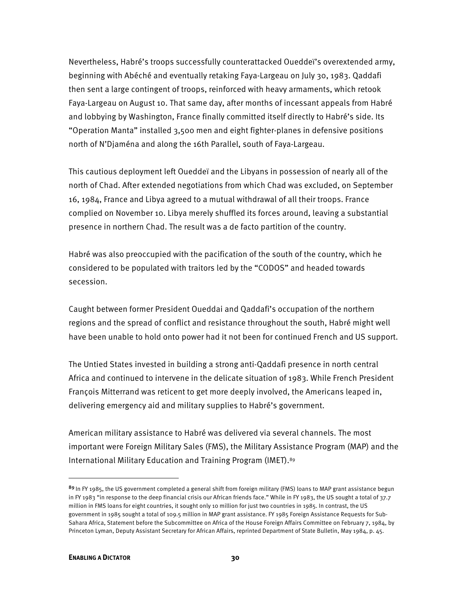Nevertheless, Habré's troops successfully counterattacked Oueddeï's overextended army, beginning with Abéché and eventually retaking Faya-Largeau on July 30, 1983. Qaddafi then sent a large contingent of troops, reinforced with heavy armaments, which retook Faya-Largeau on August 10. That same day, after months of incessant appeals from Habré and lobbying by Washington, France finally committed itself directly to Habré's side. Its "Operation Manta" installed 3,500 men and eight fighter-planes in defensive positions north of N'Djaména and along the 16th Parallel, south of Faya-Largeau.

This cautious deployment left Oueddeï and the Libyans in possession of nearly all of the north of Chad. After extended negotiations from which Chad was excluded, on September 16, 1984, France and Libya agreed to a mutual withdrawal of all their troops. France complied on November 10. Libya merely shuffled its forces around, leaving a substantial presence in northern Chad. The result was a de facto partition of the country.

Habré was also preoccupied with the pacification of the south of the country, which he considered to be populated with traitors led by the "CODOS" and headed towards secession.

Caught between former President Oueddai and Qaddafi's occupation of the northern regions and the spread of conflict and resistance throughout the south, Habré might well have been unable to hold onto power had it not been for continued French and US support.

The Untied States invested in building a strong anti-Qaddafi presence in north central Africa and continued to intervene in the delicate situation of 1983. While French President François Mitterrand was reticent to get more deeply involved, the Americans leaped in, delivering emergency aid and military supplies to Habré's government.

American military assistance to Habré was delivered via several channels. The most important were Foreign Military Sales (FMS), the Military Assistance Program (MAP) and the International Military Education and Training Program (IMET). 89

<sup>89</sup> In FY 1985, the US government completed a general shift from foreign military (FMS) loans to MAP grant assistance begun in FY 1983 "in response to the deep financial crisis our African friends face." While in FY 1983, the US sought a total of 37.7 million in FMS loans for eight countries, it sought only 10 million for just two countries in 1985. In contrast, the US government in 1985 sought a total of 109.5 million in MAP grant assistance. FY 1985 Foreign Assistance Requests for Sub-Sahara Africa, Statement before the Subcommittee on Africa of the House Foreign Affairs Committee on February 7, 1984, by Princeton Lyman, Deputy Assistant Secretary for African Affairs, reprinted Department of State Bulletin, May 1984, p. 45.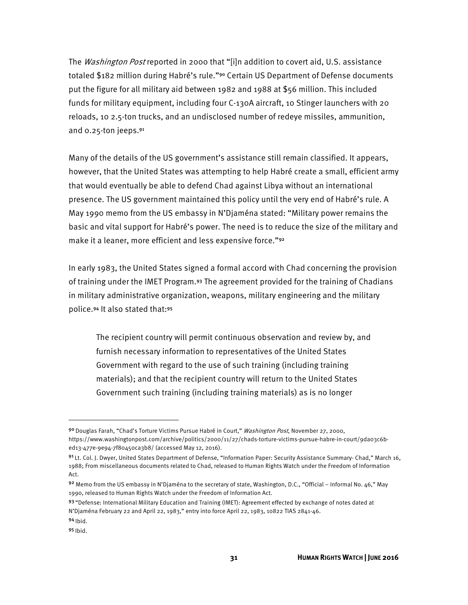The *Washington Post* reported in 2000 that "[i]n addition to covert aid, U.S. assistance totaled \$182 million during Habré's rule."<sup>90</sup> Certain US Department of Defense documents put the figure for all military aid between 1982 and 1988 at \$56 million. This included funds for military equipment, including four C-130A aircraft, 10 Stinger launchers with 20 reloads, 10 2.5-ton trucks, and an undisclosed number of redeye missiles, ammunition, and 0.25-ton jeeps.<sup>91</sup>

Many of the details of the US government's assistance still remain classified. It appears, however, that the United States was attempting to help Habré create a small, efficient army that would eventually be able to defend Chad against Libya without an international presence. The US government maintained this policy until the very end of Habré's rule. A May 1990 memo from the US embassy in N'Djaména stated: "Military power remains the basic and vital support for Habré's power. The need is to reduce the size of the military and make it a leaner, more efficient and less expensive force."<sup>92</sup>

In early 1983, the United States signed a formal accord with Chad concerning the provision of training under the IMET Program.93 The agreement provided for the training of Chadians in military administrative organization, weapons, military engineering and the military police.94 It also stated that:<sup>95</sup>

The recipient country will permit continuous observation and review by, and furnish necessary information to representatives of the United States Government with regard to the use of such training (including training materials); and that the recipient country will return to the United States Government such training (including training materials) as is no longer

<sup>90</sup> Douglas Farah, "Chad's Torture Victims Pursue Habré in Court," Washington Post, November 27, 2000, https://www.washingtonpost.com/archive/politics/2000/11/27/chads-torture-victims-pursue-habre-in-court/9da03c6bed13-477e-9e94-7f80450ca3b8/ (accessed May 12, 2016).

<sup>91</sup> Lt. Col. J. Dwyer, United States Department of Defense, "Information Paper: Security Assistance Summary- Chad," March 16, 1988; From miscellaneous documents related to Chad, released to Human Rights Watch under the Freedom of Information Act.

<sup>92</sup> Memo from the US embassy in N'Djaména to the secretary of state, Washington, D.C., "Official – Informal No. 46," May 1990, released to Human Rights Watch under the Freedom of Information Act.

<sup>93 &</sup>quot;Defense: International Military Education and Training (IMET): Agreement effected by exchange of notes dated at N'Djaména February 22 and April 22, 1983," entry into force April 22, 1983, 10822 TIAS 2841-46.

 $94$  Ibid.

<sup>95</sup> Ibid.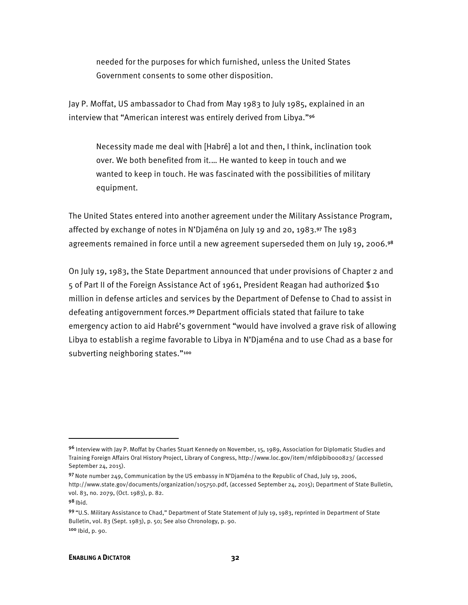needed for the purposes for which furnished, unless the United States Government consents to some other disposition.

Jay P. Moffat, US ambassador to Chad from May 1983 to July 1985, explained in an interview that "American interest was entirely derived from Libya."<sup>96</sup>

Necessity made me deal with [Habré] a lot and then, I think, inclination took over. We both benefited from it.… He wanted to keep in touch and we wanted to keep in touch. He was fascinated with the possibilities of military equipment.

The United States entered into another agreement under the Military Assistance Program, affected by exchange of notes in N'Djaména on July 19 and 20, 1983.97 The 1983 agreements remained in force until a new agreement superseded them on July 19, 2006.98

On July 19, 1983, the State Department announced that under provisions of Chapter 2 and 5 of Part II of the Foreign Assistance Act of 1961, President Reagan had authorized \$10 million in defense articles and services by the Department of Defense to Chad to assist in defeating antigovernment forces.99 Department officials stated that failure to take emergency action to aid Habré's government "would have involved a grave risk of allowing Libya to establish a regime favorable to Libya in N'Djaména and to use Chad as a base for subverting neighboring states."<sup>100</sup>

<sup>96</sup> Interview with Jay P. Moffat by Charles Stuart Kennedy on November, 15, 1989, Association for Diplomatic Studies and Training Foreign Affairs Oral History Project, Library of Congress, http://www.loc.gov/item/mfdipbib000823/ (accessed September 24, 2015).

<sup>97</sup> Note number 249, Communication by the US embassy in N'Djaména to the Republic of Chad, July 19, 2006, http://www.state.gov/documents/organization/105750.pdf, (accessed September 24, 2015); Department of State Bulletin, vol. 83, no. 2079, (Oct. 1983), p. 82.

 $98$  Ibid.

<sup>99 &</sup>quot;U.S. Military Assistance to Chad," Department of State Statement of July 19, 1983, reprinted in Department of State Bulletin, vol. 83 (Sept. 1983), p. 50; See also Chronology, p. 90. <sup>100</sup> Ibid, p. 90.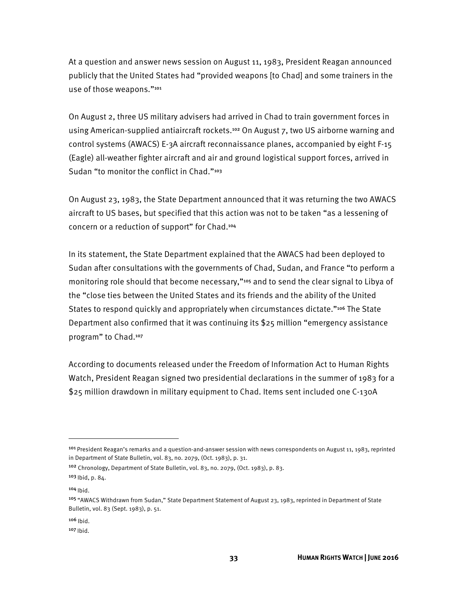At a question and answer news session on August 11, 1983, President Reagan announced publicly that the United States had "provided weapons [to Chad] and some trainers in the use of those weapons."<sup>101</sup>

On August 2, three US military advisers had arrived in Chad to train government forces in using American-supplied antiaircraft rockets.<sup>102</sup> On August 7, two US airborne warning and control systems (AWACS) E-3A aircraft reconnaissance planes, accompanied by eight F-15 (Eagle) all-weather fighter aircraft and air and ground logistical support forces, arrived in Sudan "to monitor the conflict in Chad."<sup>103</sup>

On August 23, 1983, the State Department announced that it was returning the two AWACS aircraft to US bases, but specified that this action was not to be taken "as a lessening of concern or a reduction of support" for Chad.<sup>104</sup>

In its statement, the State Department explained that the AWACS had been deployed to Sudan after consultations with the governments of Chad, Sudan, and France "to perform a monitoring role should that become necessary,"<sup>105</sup> and to send the clear signal to Libya of the "close ties between the United States and its friends and the ability of the United States to respond quickly and appropriately when circumstances dictate."<sup>106</sup> The State Department also confirmed that it was continuing its \$25 million "emergency assistance program" to Chad.<sup>107</sup>

According to documents released under the Freedom of Information Act to Human Rights Watch, President Reagan signed two presidential declarations in the summer of 1983 for a \$25 million drawdown in military equipment to Chad. Items sent included one C-130A

<sup>101</sup> President Reagan's remarks and a question-and-answer session with news correspondents on August 11, 1983, reprinted in Department of State Bulletin, vol. 83, no. 2079, (Oct. 1983), p. 31.

<sup>102</sup> Chronology, Department of State Bulletin, vol. 83, no. 2079, (Oct. 1983), p. 83.

 $103$  lbid, p. 84.

 $104$  Ibid.

<sup>&</sup>lt;sup>105</sup> "AWACS Withdrawn from Sudan," State Department Statement of August 23, 1983, reprinted in Department of State Bulletin, vol. 83 (Sept. 1983), p. 51.

 $106$  Ibid.

 $107$  Ibid.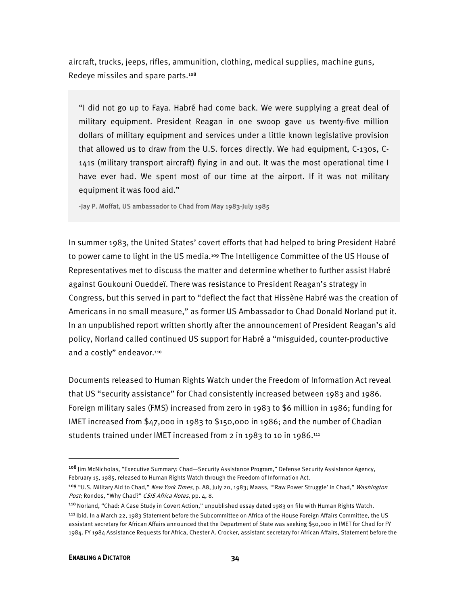aircraft, trucks, jeeps, rifles, ammunition, clothing, medical supplies, machine guns, Redeye missiles and spare parts.<sup>108</sup>

"I did not go up to Faya. Habré had come back. We were supplying a great deal of military equipment. President Reagan in one swoop gave us twenty-five million dollars of military equipment and services under a little known legislative provision that allowed us to draw from the U.S. forces directly. We had equipment, C-130s, C-141s (military transport aircraft) flying in and out. It was the most operational time I have ever had. We spent most of our time at the airport. If it was not military equipment it was food aid."

-Jay P. Moffat, US ambassador to Chad from May 1983-July 1985

In summer 1983, the United States' covert efforts that had helped to bring President Habré to power came to light in the US media.109 The Intelligence Committee of the US House of Representatives met to discuss the matter and determine whether to further assist Habré against Goukouni Oueddeï. There was resistance to President Reagan's strategy in Congress, but this served in part to "deflect the fact that Hissène Habré was the creation of Americans in no small measure," as former US Ambassador to Chad Donald Norland put it. In an unpublished report written shortly after the announcement of President Reagan's aid policy, Norland called continued US support for Habré a "misguided, counter-productive and a costly" endeavor.<sup>110</sup>

Documents released to Human Rights Watch under the Freedom of Information Act reveal that US "security assistance" for Chad consistently increased between 1983 and 1986. Foreign military sales (FMS) increased from zero in 1983 to \$6 million in 1986; funding for IMET increased from \$47,000 in 1983 to \$150,000 in 1986; and the number of Chadian students trained under IMET increased from 2 in 1983 to 10 in 1986.<sup>111</sup>

<sup>108</sup> Jim McNicholas, "Executive Summary: Chad—Security Assistance Program," Defense Security Assistance Agency, February 15, 1985, released to Human Rights Watch through the Freedom of Information Act.

<sup>&</sup>lt;sup>109</sup> "U.S. Military Aid to Chad," New York Times, p. A8, July 20, 1983; Maass, "'Raw Power Struggle' in Chad," Washington Post; Rondos, "Why Chad?" CSIS Africa Notes, pp. 4, 8.

<sup>110</sup>Norland, "Chad: A Case Study in Covert Action," unpublished essay dated 1983 on file with Human Rights Watch.

<sup>111</sup>Ibid. In a March 22, 1983 Statement before the Subcommittee on Africa of the House Foreign Affairs Committee, the US assistant secretary for African Affairs announced that the Department of State was seeking \$50,000 in IMET for Chad for FY 1984. FY 1984 Assistance Requests for Africa, Chester A. Crocker, assistant secretary for African Affairs, Statement before the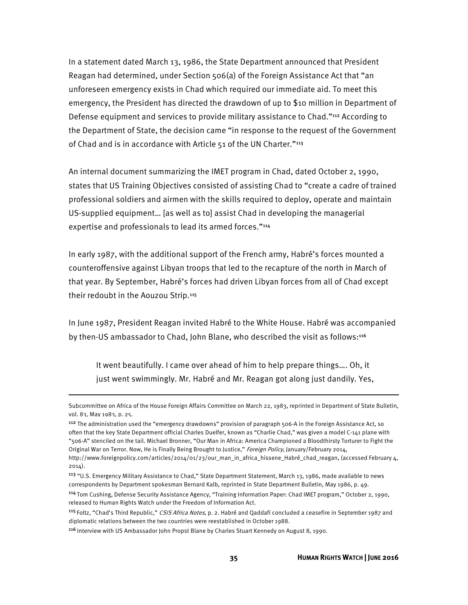In a statement dated March 13, 1986, the State Department announced that President Reagan had determined, under Section 506(a) of the Foreign Assistance Act that "an unforeseen emergency exists in Chad which required our immediate aid. To meet this emergency, the President has directed the drawdown of up to \$10 million in Department of Defense equipment and services to provide military assistance to Chad."112 According to the Department of State, the decision came "in response to the request of the Government of Chad and is in accordance with Article 51 of the UN Charter."<sup>113</sup>

An internal document summarizing the IMET program in Chad, dated October 2, 1990, states that US Training Objectives consisted of assisting Chad to "create a cadre of trained professional soldiers and airmen with the skills required to deploy, operate and maintain US-supplied equipment… [as well as to] assist Chad in developing the managerial expertise and professionals to lead its armed forces."114

In early 1987, with the additional support of the French army, Habré's forces mounted a counteroffensive against Libyan troops that led to the recapture of the north in March of that year. By September, Habré's forces had driven Libyan forces from all of Chad except their redoubt in the Aouzou Strip.<sup>115</sup>

In June 1987, President Reagan invited Habré to the White House. Habré was accompanied by then-US ambassador to Chad, John Blane, who described the visit as follows:<sup>116</sup>

It went beautifully. I came over ahead of him to help prepare things…. Oh, it just went swimmingly. Mr. Habré and Mr. Reagan got along just dandily. Yes,

**.** 

Subcommittee on Africa of the House Foreign Affairs Committee on March 22, 1983, reprinted in Department of State Bulletin, vol. 83, May 1983, p. 25.

<sup>112</sup> The administration used the "emergency drawdowns" provision of paragraph 506-A in the Foreign Assistance Act, so often that the key State Department official Charles Duelfer, known as "Charlie Chad," was given a model C-141 plane with "506-A" stenciled on the tail. Michael Bronner, "Our Man in Africa: America Championed a Bloodthirsty Torturer to Fight the Original War on Terror. Now, He is Finally Being Brought to Justice," Foreign Policy, January/February 2014, http://www.foreignpolicy.com/articles/2014/01/23/our\_man\_in\_africa\_hissene\_Habré\_chad\_reagan, (accessed February 4,

<sup>2014).</sup> 

<sup>&</sup>lt;sup>113</sup> "U.S. Emergency Military Assistance to Chad," State Department Statement, March 13, 1986, made available to news correspondents by Department spokesman Bernard Kalb, reprinted in State Department Bulletin, May 1986, p. 49.

<sup>114</sup>Tom Cushing, Defense Security Assistance Agency, "Training Information Paper: Chad IMET program," October 2, 1990, released to Human Rights Watch under the Freedom of Information Act.

<sup>&</sup>lt;sup>115</sup> Foltz, "Chad's Third Republic," CSIS Africa Notes, p. 2. Habré and Qaddafi concluded a ceasefire in September 1987 and diplomatic relations between the two countries were reestablished in October 1988.

<sup>&</sup>lt;sup>116</sup> Interview with US Ambassador John Propst Blane by Charles Stuart Kennedy on August 8, 1990.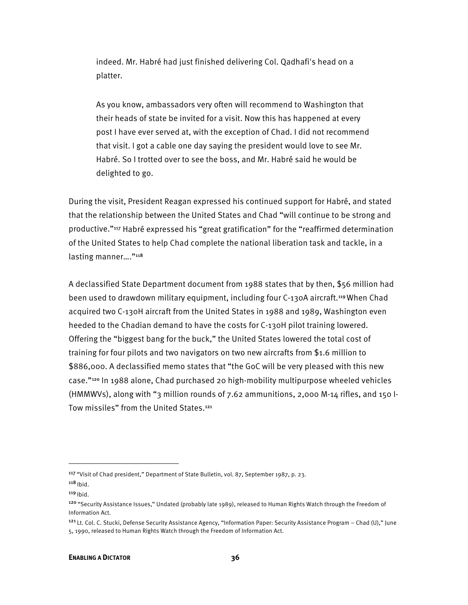indeed. Mr. Habré had just finished delivering Col. Qadhafi's head on a platter.

As you know, ambassadors very often will recommend to Washington that their heads of state be invited for a visit. Now this has happened at every post I have ever served at, with the exception of Chad. I did not recommend that visit. I got a cable one day saying the president would love to see Mr. Habré. So I trotted over to see the boss, and Mr. Habré said he would be delighted to go.

During the visit, President Reagan expressed his continued support for Habré, and stated that the relationship between the United States and Chad "will continue to be strong and productive."117 Habré expressed his "great gratification" for the "reaffirmed determination of the United States to help Chad complete the national liberation task and tackle, in a lasting manner...."<sup>118</sup>

A declassified State Department document from 1988 states that by then, \$56 million had been used to drawdown military equipment, including four C-130A aircraft.<sup>119</sup> When Chad acquired two C-130H aircraft from the United States in 1988 and 1989, Washington even heeded to the Chadian demand to have the costs for C-130H pilot training lowered. Offering the "biggest bang for the buck," the United States lowered the total cost of training for four pilots and two navigators on two new aircrafts from \$1.6 million to \$886,000. A declassified memo states that "the GoC will be very pleased with this new case."120 In 1988 alone, Chad purchased 20 high-mobility multipurpose wheeled vehicles (HMMWVs), along with "3 million rounds of 7.62 ammunitions, 2,000 M-14 rifles, and 150 I-Tow missiles" from the United States.<sup>121</sup>

<sup>&</sup>lt;sup>117</sup> "Visit of Chad president," Department of State Bulletin, vol. 87, September 1987, p. 23.

 $118$  lbid.

 $119$  lbid.

<sup>&</sup>lt;sup>120</sup> "Security Assistance Issues," Undated (probably late 1989), released to Human Rights Watch through the Freedom of Information Act.

<sup>121</sup> Lt. Col. C. Stucki, Defense Security Assistance Agency, "Information Paper: Security Assistance Program – Chad (U)," June 5, 1990, released to Human Rights Watch through the Freedom of Information Act.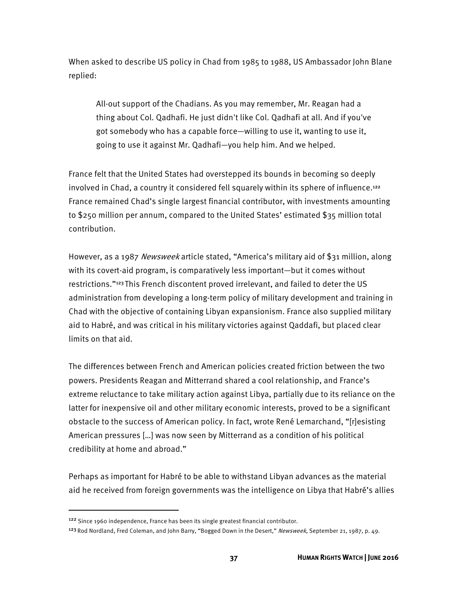When asked to describe US policy in Chad from 1985 to 1988, US Ambassador John Blane replied:

All-out support of the Chadians. As you may remember, Mr. Reagan had a thing about Col. Qadhafi. He just didn't like Col. Qadhafi at all. And if you've got somebody who has a capable force—willing to use it, wanting to use it, going to use it against Mr. Qadhafi—you help him. And we helped.

France felt that the United States had overstepped its bounds in becoming so deeply involved in Chad, a country it considered fell squarely within its sphere of influence.<sup>122</sup> France remained Chad's single largest financial contributor, with investments amounting to \$250 million per annum, compared to the United States' estimated \$35 million total contribution.

However, as a 1987 Newsweek article stated, "America's military aid of \$31 million, along with its covert-aid program, is comparatively less important—but it comes without restrictions."123 This French discontent proved irrelevant, and failed to deter the US administration from developing a long-term policy of military development and training in Chad with the objective of containing Libyan expansionism. France also supplied military aid to Habré, and was critical in his military victories against Qaddafi, but placed clear limits on that aid.

The differences between French and American policies created friction between the two powers. Presidents Reagan and Mitterrand shared a cool relationship, and France's extreme reluctance to take military action against Libya, partially due to its reliance on the latter for inexpensive oil and other military economic interests, proved to be a significant obstacle to the success of American policy. In fact, wrote René Lemarchand, "[r]esisting American pressures […] was now seen by Mitterrand as a condition of his political credibility at home and abroad."

Perhaps as important for Habré to be able to withstand Libyan advances as the material aid he received from foreign governments was the intelligence on Libya that Habré's allies

<sup>&</sup>lt;sup>122</sup> Since 1960 independence, France has been its single greatest financial contributor.

<sup>&</sup>lt;sup>123</sup> Rod Nordland, Fred Coleman, and John Barry, "Bogged Down in the Desert," Newsweek, September 21, 1987, p. 49.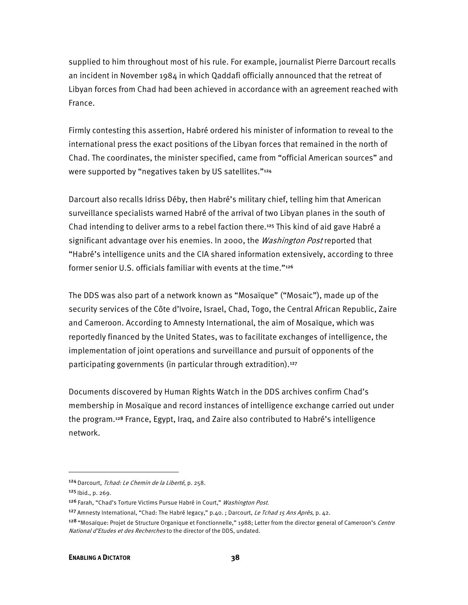supplied to him throughout most of his rule. For example, journalist Pierre Darcourt recalls an incident in November 1984 in which Qaddafi officially announced that the retreat of Libyan forces from Chad had been achieved in accordance with an agreement reached with France.

Firmly contesting this assertion, Habré ordered his minister of information to reveal to the international press the exact positions of the Libyan forces that remained in the north of Chad. The coordinates, the minister specified, came from "official American sources" and were supported by "negatives taken by US satellites."<sup>124</sup>

Darcourt also recalls Idriss Déby, then Habré's military chief, telling him that American surveillance specialists warned Habré of the arrival of two Libyan planes in the south of Chad intending to deliver arms to a rebel faction there.<sup>125</sup> This kind of aid gave Habré a significant advantage over his enemies. In 2000, the Washington Post reported that "Habré's intelligence units and the CIA shared information extensively, according to three former senior U.S. officials familiar with events at the time."<sup>126</sup>

The DDS was also part of a network known as "Mosaïque" ("Mosaic"), made up of the security services of the Côte d'Ivoire, Israel, Chad, Togo, the Central African Republic, Zaire and Cameroon. According to Amnesty International, the aim of Mosaïque, which was reportedly financed by the United States, was to facilitate exchanges of intelligence, the implementation of joint operations and surveillance and pursuit of opponents of the participating governments (in particular through extradition).<sup>127</sup>

Documents discovered by Human Rights Watch in the DDS archives confirm Chad's membership in Mosaïque and record instances of intelligence exchange carried out under the program.128 France, Egypt, Iraq, and Zaire also contributed to Habré's intelligence network.

<sup>124</sup> Darcourt, Tchad: Le Chemin de la Liberté, p. 258.

 $125$  | bid., p. 269.

<sup>&</sup>lt;sup>126</sup> Farah, "Chad's Torture Victims Pursue Habré in Court," *Washington Post.* 

<sup>&</sup>lt;sup>127</sup> Amnesty International, "Chad: The Habré legacy," p.40. ; Darcourt, Le Tchad 15 Ans Après, p. 42.

<sup>&</sup>lt;sup>128</sup> "Mosaïque: Projet de Structure Organique et Fonctionnelle," 1988; Letter from the director general of Cameroon's *Centre* National d'Etudes et des Recherches to the director of the DDS, undated.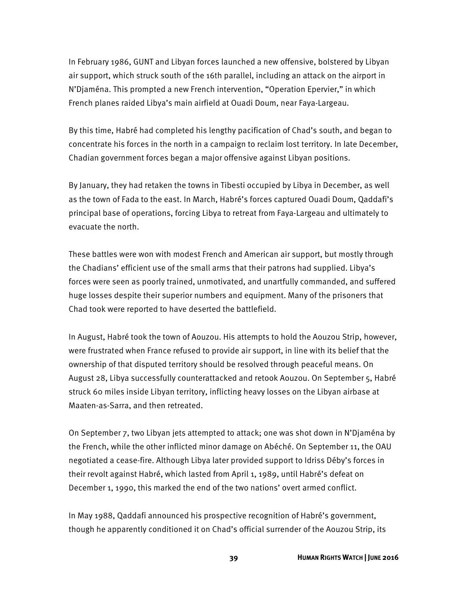In February 1986, GUNT and Libyan forces launched a new offensive, bolstered by Libyan air support, which struck south of the 16th parallel, including an attack on the airport in N'Djaména. This prompted a new French intervention, "Operation Epervier," in which French planes raided Libya's main airfield at Ouadi Doum, near Faya-Largeau.

By this time, Habré had completed his lengthy pacification of Chad's south, and began to concentrate his forces in the north in a campaign to reclaim lost territory. In late December, Chadian government forces began a major offensive against Libyan positions.

By January, they had retaken the towns in Tibesti occupied by Libya in December, as well as the town of Fada to the east. In March, Habré's forces captured Ouadi Doum, Qaddafi's principal base of operations, forcing Libya to retreat from Faya-Largeau and ultimately to evacuate the north.

These battles were won with modest French and American air support, but mostly through the Chadians' efficient use of the small arms that their patrons had supplied. Libya's forces were seen as poorly trained, unmotivated, and unartfully commanded, and suffered huge losses despite their superior numbers and equipment. Many of the prisoners that Chad took were reported to have deserted the battlefield.

In August, Habré took the town of Aouzou. His attempts to hold the Aouzou Strip, however, were frustrated when France refused to provide air support, in line with its belief that the ownership of that disputed territory should be resolved through peaceful means. On August 28, Libya successfully counterattacked and retook Aouzou. On September 5, Habré struck 60 miles inside Libyan territory, inflicting heavy losses on the Libyan airbase at Maaten-as-Sarra, and then retreated.

On September 7, two Libyan jets attempted to attack; one was shot down in N'Djaména by the French, while the other inflicted minor damage on Abéché. On September 11, the OAU negotiated a cease-fire. Although Libya later provided support to Idriss Déby's forces in their revolt against Habré, which lasted from April 1, 1989, until Habré's defeat on December 1, 1990, this marked the end of the two nations' overt armed conflict.

In May 1988, Qaddafi announced his prospective recognition of Habré's government, though he apparently conditioned it on Chad's official surrender of the Aouzou Strip, its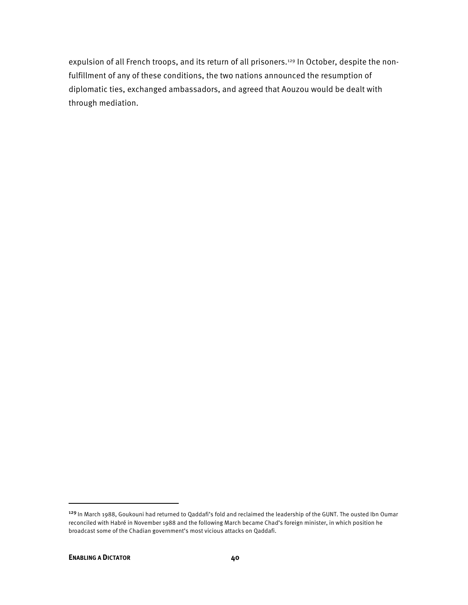expulsion of all French troops, and its return of all prisoners.<sup>129</sup> In October, despite the nonfulfillment of any of these conditions, the two nations announced the resumption of diplomatic ties, exchanged ambassadors, and agreed that Aouzou would be dealt with through mediation.

<sup>&</sup>lt;sup>129</sup> In March 1988, Goukouni had returned to Qaddafi's fold and reclaimed the leadership of the GUNT. The ousted Ibn Oumar reconciled with Habré in November 1988 and the following March became Chad's foreign minister, in which position he broadcast some of the Chadian government's most vicious attacks on Qaddafi.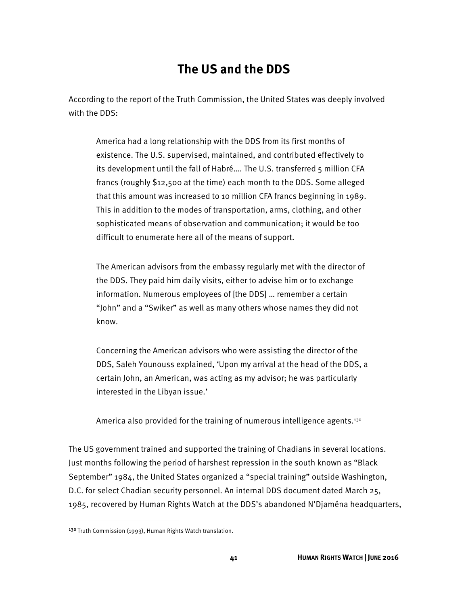# **The US and the DDS**

According to the report of the Truth Commission, the United States was deeply involved with the DDS:

America had a long relationship with the DDS from its first months of existence. The U.S. supervised, maintained, and contributed effectively to its development until the fall of Habré…. The U.S. transferred 5 million CFA francs (roughly \$12,500 at the time) each month to the DDS. Some alleged that this amount was increased to 10 million CFA francs beginning in 1989. This in addition to the modes of transportation, arms, clothing, and other sophisticated means of observation and communication; it would be too difficult to enumerate here all of the means of support.

The American advisors from the embassy regularly met with the director of the DDS. They paid him daily visits, either to advise him or to exchange information. Numerous employees of [the DDS] … remember a certain "John" and a "Swiker" as well as many others whose names they did not know.

Concerning the American advisors who were assisting the director of the DDS, Saleh Younouss explained, 'Upon my arrival at the head of the DDS, a certain John, an American, was acting as my advisor; he was particularly interested in the Libyan issue.'

America also provided for the training of numerous intelligence agents.<sup>130</sup>

The US government trained and supported the training of Chadians in several locations. Just months following the period of harshest repression in the south known as "Black September" 1984, the United States organized a "special training" outside Washington, D.C. for select Chadian security personnel. An internal DDS document dated March 25, 1985, recovered by Human Rights Watch at the DDS's abandoned N'Djaména headquarters,

<sup>130</sup> Truth Commission (1993), Human Rights Watch translation.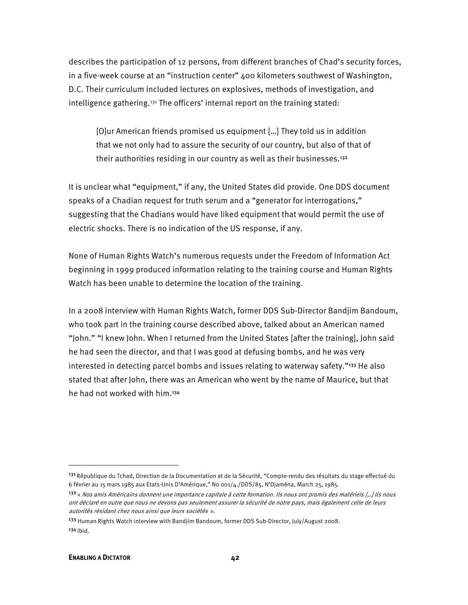describes the participation of 12 persons, from different branches of Chad's security forces, in a five-week course at an "instruction center" 400 kilometers southwest of Washington, D.C. Their curriculum included lectures on explosives, methods of investigation, and intelligence gathering.131 The officers' internal report on the training stated:

[O]ur American friends promised us equipment […] They told us in addition that we not only had to assure the security of our country, but also of that of their authorities residing in our country as well as their businesses.<sup>132</sup>

It is unclear what "equipment," if any, the United States did provide. One DDS document speaks of a Chadian request for truth serum and a "generator for interrogations," suggesting that the Chadians would have liked equipment that would permit the use of electric shocks. There is no indication of the US response, if any.

None of Human Rights Watch's numerous requests under the Freedom of Information Act beginning in 1999 produced information relating to the training course and Human Rights Watch has been unable to determine the location of the training.

In a 2008 interview with Human Rights Watch, former DDS Sub-Director Bandjim Bandoum, who took part in the training course described above, talked about an American named "John." "I knew John. When I returned from the United States [after the training], John said he had seen the director, and that I was good at defusing bombs, and he was very interested in detecting parcel bombs and issues relating to waterway safety."<sup>133</sup> He also stated that after John, there was an American who went by the name of Maurice, but that he had not worked with him.<sup>134</sup>

<sup>&</sup>lt;sup>131</sup> République du Tchad, Direction de la Documentation et de la Sécurité, "Compte-rendu des résultats du stage effectué du 6 février au 15 mars 1985 aux Etats-Unis D'Amérique," No 001/4./DDS/85, N'Djaména, March 25, 1985.

<sup>132</sup>« Nos amis Américains donnent une importance capitale à cette formation. Ils nous ont promis des matériels […] Ils nous ont déclaré en outre que nous ne devons pas seulement assurer la sécurité de notre pays, mais également celle de leurs autorités résidant chez nous ainsi que leurs sociétés ».

<sup>133</sup> Human Rights Watch interview with Bandjim Bandoum, former DDS Sub-Director, July/August 2008.  $134$  Ibid.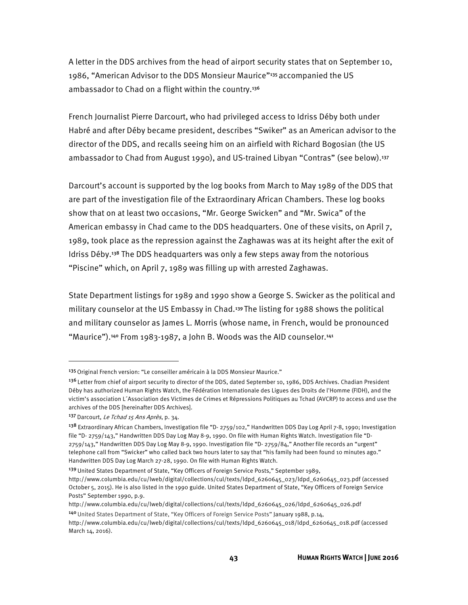A letter in the DDS archives from the head of airport security states that on September 10, 1986, "American Advisor to the DDS Monsieur Maurice"135 accompanied the US ambassador to Chad on a flight within the country.<sup>136</sup>

French Journalist Pierre Darcourt, who had privileged access to Idriss Déby both under Habré and after Déby became president, describes "Swiker" as an American advisor to the director of the DDS, and recalls seeing him on an airfield with Richard Bogosian (the US ambassador to Chad from August 1990), and US-trained Libyan "Contras" (see below).<sup>137</sup>

Darcourt's account is supported by the log books from March to May 1989 of the DDS that are part of the investigation file of the Extraordinary African Chambers. These log books show that on at least two occasions, "Mr. George Swicken" and "Mr. Swica" of the American embassy in Chad came to the DDS headquarters. One of these visits, on April 7, 1989, took place as the repression against the Zaghawas was at its height after the exit of Idriss Déby.138 The DDS headquarters was only a few steps away from the notorious "Piscine" which, on April 7, 1989 was filling up with arrested Zaghawas.

State Department listings for 1989 and 1990 show a George S. Swicker as the political and military counselor at the US Embassy in Chad.139 The listing for 1988 shows the political and military counselor as James L. Morris (whose name, in French, would be pronounced "Maurice").<sup>140</sup> From 1983-1987, a John B. Woods was the AID counselor.<sup>141</sup>

<sup>&</sup>lt;sup>135</sup> Original French version: "Le conseiller américain à la DDS Monsieur Maurice."

<sup>136</sup> Letter from chief of airport security to director of the DDS, dated September 10, 1986, DDS Archives. Chadian President Déby has authorized Human Rights Watch, the Fédération Internationale des Ligues des Droits de l'Homme (FIDH), and the victim's association L´Association des Victimes de Crimes et Répressions Politiques au Tchad (AVCRP) to access and use the archives of the DDS [hereinafter DDS Archives].

<sup>137</sup> Darcourt, Le Tchad 15 Ans Après, p. 34.

<sup>138</sup> Extraordinary African Chambers, Investigation file "D- 2759/102," Handwritten DDS Day Log April 7-8, 1990; Investigation file "D- 2759/143," Handwritten DDS Day Log May 8-9, 1990. On file with Human Rights Watch. Investigation file "D-2759/143," Handwritten DDS Day Log May 8-9, 1990. Investigation file "D- 2759/84," Another file records an "urgent" telephone call from "Swicker" who called back two hours later to say that "his family had been found 10 minutes ago." Handwritten DDS Day Log March 27-28, 1990. On file with Human Rights Watch.

<sup>&</sup>lt;sup>139</sup> United States Department of State, "Key Officers of Foreign Service Posts," September 1989,

http://www.columbia.edu/cu/lweb/digital/collections/cul/texts/ldpd\_6260645\_023/ldpd\_6260645\_023.pdf (accessed October 5, 2015). He is also listed in the 1990 guide. United States Department of State, "Key Officers of Foreign Service Posts" September 1990, p.9.

http://www.columbia.edu/cu/lweb/digital/collections/cul/texts/ldpd\_6260645\_026/ldpd\_6260645\_026.pdf <sup>140</sup>United States Department of State, "Key Officers of Foreign Service Posts" January 1988, p.14,

http://www.columbia.edu/cu/lweb/digital/collections/cul/texts/ldpd\_6260645\_018/ldpd\_6260645\_018.pdf (accessed March 14, 2016).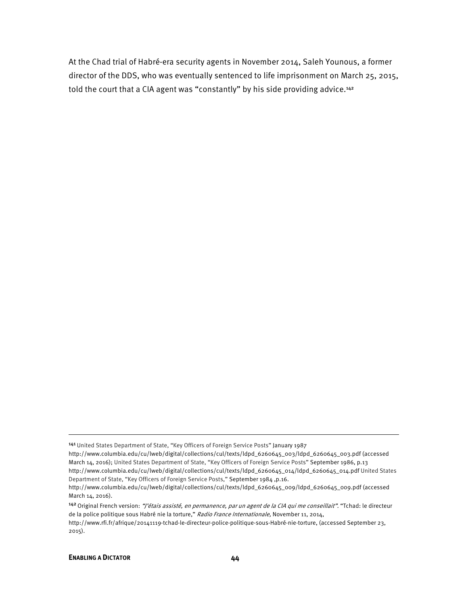At the Chad trial of Habré-era security agents in November 2014, Saleh Younous, a former director of the DDS, who was eventually sentenced to life imprisonment on March 25, 2015, told the court that a CIA agent was "constantly" by his side providing advice.<sup>142</sup>

142 Original French version: "J'étais assisté, en permanence, par un agent de la CIA qui me conseillait". "Tchad: le directeur de la police politique sous Habré nie la torture," Radio France Internationale, November 11, 2014, http://www.rfi.fr/afrique/20141119-tchad-le-directeur-police-politique-sous-Habré-nie-torture, (accessed September 23,

2015).

**.** 

<sup>141</sup> United States Department of State, "Key Officers of Foreign Service Posts" January 1987

http://www.columbia.edu/cu/lweb/digital/collections/cul/texts/ldpd\_6260645\_003/ldpd\_6260645\_003.pdf (accessed March 14, 2016); United States Department of State, "Key Officers of Foreign Service Posts" September 1986, p.13 http://www.columbia.edu/cu/lweb/digital/collections/cul/texts/ldpd\_6260645\_014/ldpd\_6260645\_014.pdf United States Department of State, "Key Officers of Foreign Service Posts," September 1984 ,p.16.

http://www.columbia.edu/cu/lweb/digital/collections/cul/texts/ldpd\_6260645\_009/ldpd\_6260645\_009.pdf (accessed March 14, 2016).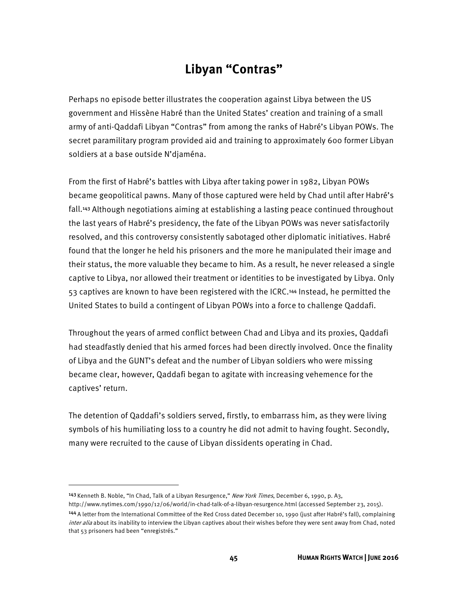# **Libyan "Contras"**

Perhaps no episode better illustrates the cooperation against Libya between the US government and Hissène Habré than the United States' creation and training of a small army of anti-Qaddafi Libyan "Contras" from among the ranks of Habré's Libyan POWs. The secret paramilitary program provided aid and training to approximately 600 former Libyan soldiers at a base outside N'djaména.

From the first of Habré's battles with Libya after taking power in 1982, Libyan POWs became geopolitical pawns. Many of those captured were held by Chad until after Habré's fall.143 Although negotiations aiming at establishing a lasting peace continued throughout the last years of Habré's presidency, the fate of the Libyan POWs was never satisfactorily resolved, and this controversy consistently sabotaged other diplomatic initiatives. Habré found that the longer he held his prisoners and the more he manipulated their image and their status, the more valuable they became to him. As a result, he never released a single captive to Libya, nor allowed their treatment or identities to be investigated by Libya. Only 53 captives are known to have been registered with the ICRC.144 Instead, he permitted the United States to build a contingent of Libyan POWs into a force to challenge Qaddafi.

Throughout the years of armed conflict between Chad and Libya and its proxies, Qaddafi had steadfastly denied that his armed forces had been directly involved. Once the finality of Libya and the GUNT's defeat and the number of Libyan soldiers who were missing became clear, however, Qaddafi began to agitate with increasing vehemence for the captives' return.

The detention of Qaddafi's soldiers served, firstly, to embarrass him, as they were living symbols of his humiliating loss to a country he did not admit to having fought. Secondly, many were recruited to the cause of Libyan dissidents operating in Chad.

<sup>&</sup>lt;sup>143</sup> Kenneth B. Noble, "In Chad, Talk of a Libyan Resurgence," New York Times, December 6, 1990, p. A3,

http://www.nytimes.com/1990/12/06/world/in-chad-talk-of-a-libyan-resurgence.html (accessed September 23, 2015). <sup>144</sup>A letter from the International Committee of the Red Cross dated December 10, 1990 (just after Habré's fall), complaining inter alia about its inability to interview the Libyan captives about their wishes before they were sent away from Chad, noted that 53 prisoners had been "enregistrés."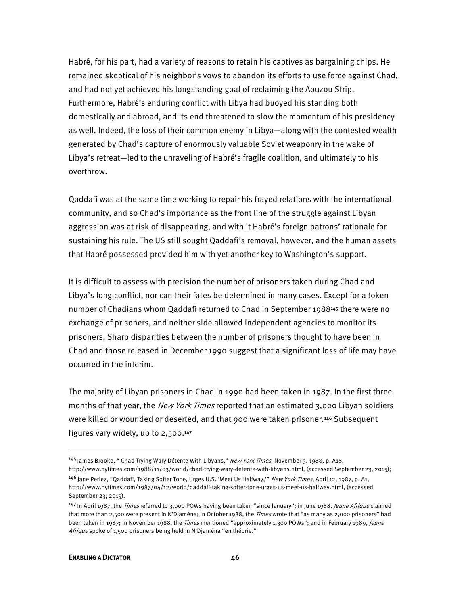Habré, for his part, had a variety of reasons to retain his captives as bargaining chips. He remained skeptical of his neighbor's vows to abandon its efforts to use force against Chad, and had not yet achieved his longstanding goal of reclaiming the Aouzou Strip. Furthermore, Habré's enduring conflict with Libya had buoyed his standing both domestically and abroad, and its end threatened to slow the momentum of his presidency as well. Indeed, the loss of their common enemy in Libya—along with the contested wealth generated by Chad's capture of enormously valuable Soviet weaponry in the wake of Libya's retreat—led to the unraveling of Habré's fragile coalition, and ultimately to his overthrow.

Qaddafi was at the same time working to repair his frayed relations with the international community, and so Chad's importance as the front line of the struggle against Libyan aggression was at risk of disappearing, and with it Habré's foreign patrons' rationale for sustaining his rule. The US still sought Qaddafi's removal, however, and the human assets that Habré possessed provided him with yet another key to Washington's support.

It is difficult to assess with precision the number of prisoners taken during Chad and Libya's long conflict, nor can their fates be determined in many cases. Except for a token number of Chadians whom Qaddafi returned to Chad in September 1988145 there were no exchange of prisoners, and neither side allowed independent agencies to monitor its prisoners. Sharp disparities between the number of prisoners thought to have been in Chad and those released in December 1990 suggest that a significant loss of life may have occurred in the interim.

The majority of Libyan prisoners in Chad in 1990 had been taken in 1987. In the first three months of that year, the *New York Times* reported that an estimated 3,000 Libyan soldiers were killed or wounded or deserted, and that 900 were taken prisoner.146 Subsequent figures vary widely, up to 2,500.<sup>147</sup>

<sup>145</sup> James Brooke, " Chad Trying Wary Détente With Libyans," New York Times, November 3, 1988, p. A18,

http://www.nytimes.com/1988/11/03/world/chad-trying-wary-detente-with-libyans.html, (accessed September 23, 2015); 146 Jane Perlez, "Qaddafi, Taking Softer Tone, Urges U.S. 'Meet Us Halfway,'" New York Times, April 12, 1987, p. A1, http://www.nytimes.com/1987/04/12/world/qaddafi-taking-softer-tone-urges-us-meet-us-halfway.html, (accessed September 23, 2015).

<sup>147</sup> In April 1987, the Times referred to 3,000 POWs having been taken "since January"; in June 1988, Jeune Afrique claimed that more than 2,500 were present in N'Djaména; in October 1988, the *Times* wrote that "as many as 2,000 prisoners" had been taken in 1987; in November 1988, the Times mentioned "approximately 1,300 POWs"; and in February 1989, Jeune Afrique spoke of 1,500 prisoners being held in N'Djaména "en théorie."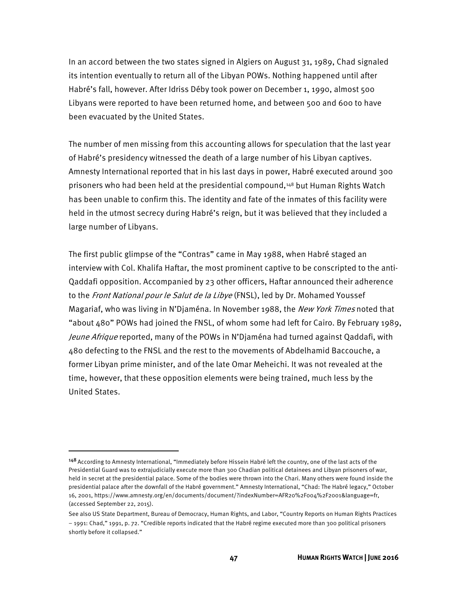In an accord between the two states signed in Algiers on August 31, 1989, Chad signaled its intention eventually to return all of the Libyan POWs. Nothing happened until after Habré's fall, however. After Idriss Déby took power on December 1, 1990, almost 500 Libyans were reported to have been returned home, and between 500 and 600 to have been evacuated by the United States.

The number of men missing from this accounting allows for speculation that the last year of Habré's presidency witnessed the death of a large number of his Libyan captives. Amnesty International reported that in his last days in power, Habré executed around 300 prisoners who had been held at the presidential compound,148 but Human Rights Watch has been unable to confirm this. The identity and fate of the inmates of this facility were held in the utmost secrecy during Habré's reign, but it was believed that they included a large number of Libyans.

The first public glimpse of the "Contras" came in May 1988, when Habré staged an interview with Col. Khalifa Haftar, the most prominent captive to be conscripted to the anti-Qaddafi opposition. Accompanied by 23 other officers, Haftar announced their adherence to the Front National pour le Salut de la Libye (FNSL), led by Dr. Mohamed Youssef Magariaf, who was living in N'Djaména. In November 1988, the New York Times noted that "about 480" POWs had joined the FNSL, of whom some had left for Cairo. By February 1989, Jeune Afrique reported, many of the POWs in N'Djaména had turned against Qaddafi, with 480 defecting to the FNSL and the rest to the movements of Abdelhamid Baccouche, a former Libyan prime minister, and of the late Omar Meheichi. It was not revealed at the time, however, that these opposition elements were being trained, much less by the United States.

<sup>148</sup> According to Amnesty International, "Immediately before Hissein Habré left the country, one of the last acts of the Presidential Guard was to extrajudicially execute more than 300 Chadian political detainees and Libyan prisoners of war, held in secret at the presidential palace. Some of the bodies were thrown into the Chari. Many others were found inside the presidential palace after the downfall of the Habré government." Amnesty International, "Chad: The Habré legacy," October 16, 2001, https://www.amnesty.org/en/documents/document/?indexNumber=AFR20%2F004%2F2001&language=fr, (accessed September 22, 2015).

See also US State Department, Bureau of Democracy, Human Rights, and Labor, "Country Reports on Human Rights Practices – 1991: Chad," 1991, p. 72. "Credible reports indicated that the Habré regime executed more than 300 political prisoners shortly before it collapsed."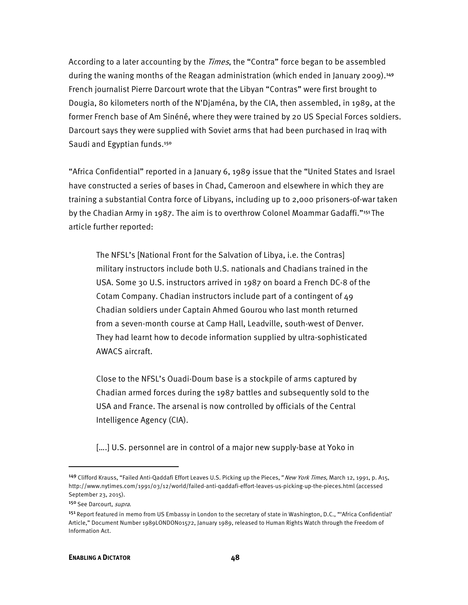According to a later accounting by the *Times*, the "Contra" force began to be assembled during the waning months of the Reagan administration (which ended in January 2009).<sup>149</sup> French journalist Pierre Darcourt wrote that the Libyan "Contras" were first brought to Dougia, 80 kilometers north of the N'Djaména, by the CIA, then assembled, in 1989, at the former French base of Am Sinéné, where they were trained by 20 US Special Forces soldiers. Darcourt says they were supplied with Soviet arms that had been purchased in Iraq with Saudi and Egyptian funds.<sup>150</sup>

"Africa Confidential" reported in a January 6, 1989 issue that the "United States and Israel have constructed a series of bases in Chad, Cameroon and elsewhere in which they are training a substantial Contra force of Libyans, including up to 2,000 prisoners-of-war taken by the Chadian Army in 1987. The aim is to overthrow Colonel Moammar Gadaffi."151 The article further reported:

The NFSL's [National Front for the Salvation of Libya, i.e. the Contras] military instructors include both U.S. nationals and Chadians trained in the USA. Some 30 U.S. instructors arrived in 1987 on board a French DC-8 of the Cotam Company. Chadian instructors include part of a contingent of 49 Chadian soldiers under Captain Ahmed Gourou who last month returned from a seven-month course at Camp Hall, Leadville, south-west of Denver. They had learnt how to decode information supplied by ultra-sophisticated AWACS aircraft.

Close to the NFSL's Ouadi-Doum base is a stockpile of arms captured by Chadian armed forces during the 1987 battles and subsequently sold to the USA and France. The arsenal is now controlled by officials of the Central Intelligence Agency (CIA).

[....] U.S. personnel are in control of a major new supply-base at Yoko in

<sup>&</sup>lt;sup>149</sup> Clifford Krauss, "Failed Anti-Qaddafi Effort Leaves U.S. Picking up the Pieces," New York Times, March 12, 1991, p. A15, http://www.nytimes.com/1991/03/12/world/failed-anti-qaddafi-effort-leaves-us-picking-up-the-pieces.html (accessed September 23, 2015).

<sup>150</sup> See Darcourt, supra.

<sup>&</sup>lt;sup>151</sup> Report featured in memo from US Embassy in London to the secretary of state in Washington, D.C., "'Africa Confidential' Article," Document Number 1989LONDON01572, January 1989, released to Human Rights Watch through the Freedom of Information Act.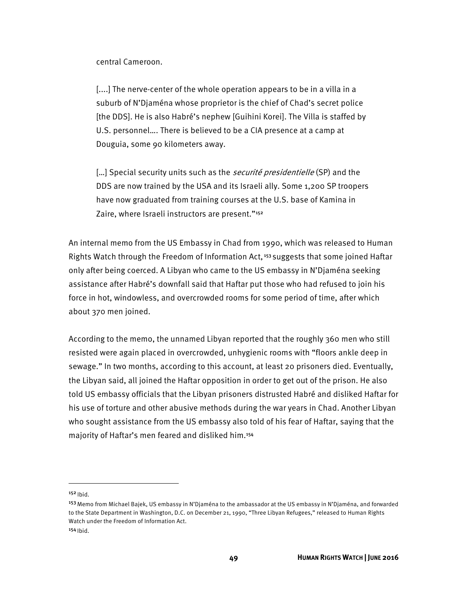central Cameroon.

[....] The nerve-center of the whole operation appears to be in a villa in a suburb of N'Djaména whose proprietor is the chief of Chad's secret police [the DDS]. He is also Habré's nephew [Guihini Korei]. The Villa is staffed by U.S. personnel…. There is believed to be a CIA presence at a camp at Douguia, some 90 kilometers away.

[...] Special security units such as the *securité presidentielle* (SP) and the DDS are now trained by the USA and its Israeli ally. Some 1,200 SP troopers have now graduated from training courses at the U.S. base of Kamina in Zaire, where Israeli instructors are present."<sup>152</sup>

An internal memo from the US Embassy in Chad from 1990, which was released to Human Rights Watch through the Freedom of Information Act,<sup>153</sup> suggests that some joined Haftar only after being coerced. A Libyan who came to the US embassy in N'Djaména seeking assistance after Habré's downfall said that Haftar put those who had refused to join his force in hot, windowless, and overcrowded rooms for some period of time, after which about 370 men joined.

According to the memo, the unnamed Libyan reported that the roughly 360 men who still resisted were again placed in overcrowded, unhygienic rooms with "floors ankle deep in sewage." In two months, according to this account, at least 20 prisoners died. Eventually, the Libyan said, all joined the Haftar opposition in order to get out of the prison. He also told US embassy officials that the Libyan prisoners distrusted Habré and disliked Haftar for his use of torture and other abusive methods during the war years in Chad. Another Libyan who sought assistance from the US embassy also told of his fear of Haftar, saying that the majority of Haftar's men feared and disliked him.<sup>154</sup>

 $152$  Ibid.

<sup>&</sup>lt;sup>153</sup> Memo from Michael Bajek, US embassy in N'Djaména to the ambassador at the US embassy in N'Djaména, and forwarded to the State Department in Washington, D.C. on December 21, 1990, "Three Libyan Refugees," released to Human Rights Watch under the Freedom of Information Act.

 $154$  Ibid.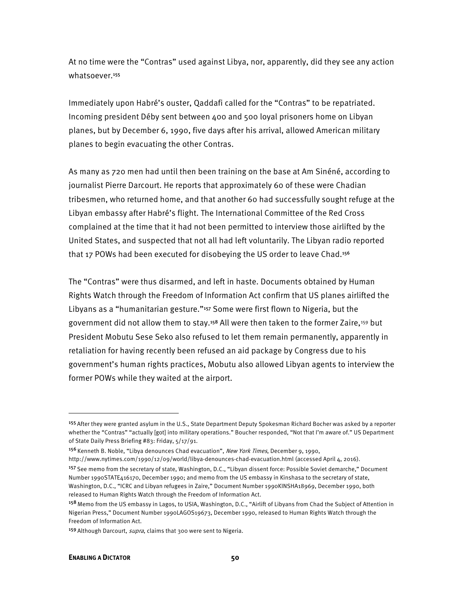At no time were the "Contras" used against Libya, nor, apparently, did they see any action whatsoever.<sup>155</sup>

Immediately upon Habré's ouster, Qaddafi called for the "Contras" to be repatriated. Incoming president Déby sent between 400 and 500 loyal prisoners home on Libyan planes, but by December 6, 1990, five days after his arrival, allowed American military planes to begin evacuating the other Contras.

As many as 720 men had until then been training on the base at Am Sinéné, according to journalist Pierre Darcourt. He reports that approximately 60 of these were Chadian tribesmen, who returned home, and that another 60 had successfully sought refuge at the Libyan embassy after Habré's flight. The International Committee of the Red Cross complained at the time that it had not been permitted to interview those airlifted by the United States, and suspected that not all had left voluntarily. The Libyan radio reported that 17 POWs had been executed for disobeying the US order to leave Chad.<sup>156</sup>

The "Contras" were thus disarmed, and left in haste. Documents obtained by Human Rights Watch through the Freedom of Information Act confirm that US planes airlifted the Libyans as a "humanitarian gesture."157 Some were first flown to Nigeria, but the government did not allow them to stay.<sup>158</sup> All were then taken to the former Zaire,<sup>159</sup> but President Mobutu Sese Seko also refused to let them remain permanently, apparently in retaliation for having recently been refused an aid package by Congress due to his government's human rights practices, Mobutu also allowed Libyan agents to interview the former POWs while they waited at the airport.

<sup>&</sup>lt;sup>155</sup> After they were granted asylum in the U.S., State Department Deputy Spokesman Richard Bocher was asked by a reporter whether the "Contras" "actually [got] into military operations." Boucher responded, "Not that I'm aware of." US Department of State Daily Press Briefing #83: Friday, 5/17/91.

<sup>&</sup>lt;sup>156</sup> Kenneth B. Noble, "Libya denounces Chad evacuation", New York Times, December 9, 1990,

http://www.nytimes.com/1990/12/09/world/libya-denounces-chad-evacuation.html (accessed April 4, 2016).

<sup>157</sup> See memo from the secretary of state, Washington, D.C., "Libyan dissent force: Possible Soviet demarche," Document Number 1990STATE416170, December 1990; and memo from the US embassy in Kinshasa to the secretary of state, Washington, D.C., "ICRC and Libyan refugees in Zaire," Document Number 1990KINSHA18969, December 1990, both released to Human Rights Watch through the Freedom of Information Act.

<sup>158</sup> Memo from the US embassy in Lagos, to USIA, Washington, D.C., "Airlift of Libyans from Chad the Subject of Attention in Nigerian Press," Document Number 1990LAGOS19673, December 1990, released to Human Rights Watch through the Freedom of Information Act.

<sup>159</sup> Although Darcourt, *supra*, claims that 300 were sent to Nigeria.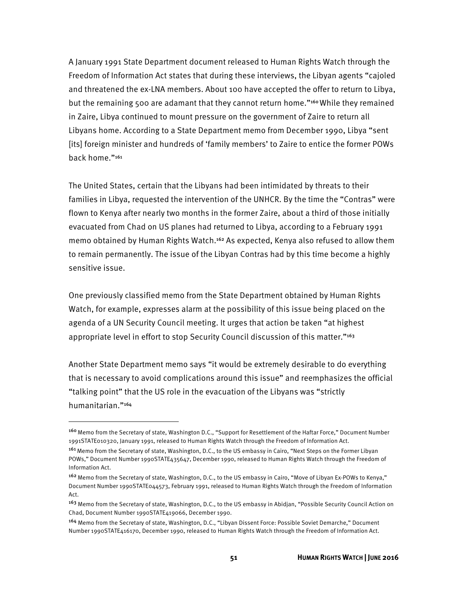A January 1991 State Department document released to Human Rights Watch through the Freedom of Information Act states that during these interviews, the Libyan agents "cajoled and threatened the ex-LNA members. About 100 have accepted the offer to return to Libya, but the remaining 500 are adamant that they cannot return home."<sup>160</sup> While they remained in Zaire, Libya continued to mount pressure on the government of Zaire to return all Libyans home. According to a State Department memo from December 1990, Libya "sent [its] foreign minister and hundreds of 'family members' to Zaire to entice the former POWs back home."<sup>161</sup>

The United States, certain that the Libyans had been intimidated by threats to their families in Libya, requested the intervention of the UNHCR. By the time the "Contras" were flown to Kenya after nearly two months in the former Zaire, about a third of those initially evacuated from Chad on US planes had returned to Libya, according to a February 1991 memo obtained by Human Rights Watch.162 As expected, Kenya also refused to allow them to remain permanently. The issue of the Libyan Contras had by this time become a highly sensitive issue.

One previously classified memo from the State Department obtained by Human Rights Watch, for example, expresses alarm at the possibility of this issue being placed on the agenda of a UN Security Council meeting. It urges that action be taken "at highest appropriate level in effort to stop Security Council discussion of this matter."<sup>163</sup>

Another State Department memo says "it would be extremely desirable to do everything that is necessary to avoid complications around this issue" and reemphasizes the official "talking point" that the US role in the evacuation of the Libyans was "strictly humanitarian."<sup>164</sup>

<sup>160</sup>Memo from the Secretary of state, Washington D.C., "Support for Resettlement of the Haftar Force," Document Number 1991STATE010320, January 1991, released to Human Rights Watch through the Freedom of Information Act.

<sup>161</sup> Memo from the Secretary of state, Washington, D.C., to the US embassy in Cairo, "Next Steps on the Former Libyan POWs," Document Number 1990STATE435647, December 1990, released to Human Rights Watch through the Freedom of Information Act.

<sup>&</sup>lt;sup>162</sup> Memo from the Secretary of state, Washington, D.C., to the US embassy in Cairo, "Move of Libyan Ex-POWs to Kenya," Document Number 1990STATE044573, February 1991, released to Human Rights Watch through the Freedom of Information Act.

<sup>&</sup>lt;sup>163</sup> Memo from the Secretary of state, Washington, D.C., to the US embassy in Abidjan, "Possible Security Council Action on Chad, Document Number 1990STATE419066, December 1990.

<sup>164</sup> Memo from the Secretary of state, Washington, D.C., "Libyan Dissent Force: Possible Soviet Demarche," Document Number 1990STATE416170, December 1990, released to Human Rights Watch through the Freedom of Information Act.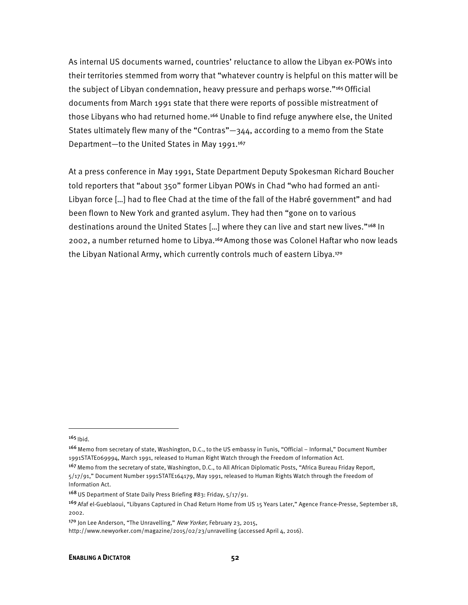As internal US documents warned, countries' reluctance to allow the Libyan ex-POWs into their territories stemmed from worry that "whatever country is helpful on this matter will be the subject of Libyan condemnation, heavy pressure and perhaps worse."<sup>165</sup> Official documents from March 1991 state that there were reports of possible mistreatment of those Libyans who had returned home.166 Unable to find refuge anywhere else, the United States ultimately flew many of the "Contras"—344, according to a memo from the State Department-to the United States in May 1991.<sup>167</sup>

At a press conference in May 1991, State Department Deputy Spokesman Richard Boucher told reporters that "about 350" former Libyan POWs in Chad "who had formed an anti-Libyan force […] had to flee Chad at the time of the fall of the Habré government" and had been flown to New York and granted asylum. They had then "gone on to various destinations around the United States [...] where they can live and start new lives."<sup>168</sup> In 2002, a number returned home to Libya.169 Among those was Colonel Haftar who now leads the Libyan National Army, which currently controls much of eastern Libya.<sup>170</sup>

 $165$  Ibid.

<sup>166</sup> Memo from secretary of state, Washington, D.C., to the US embassy in Tunis, "Official - Informal," Document Number 1991STATE069994, March 1991, released to Human Right Watch through the Freedom of Information Act.

<sup>&</sup>lt;sup>167</sup> Memo from the secretary of state, Washington, D.C., to All African Diplomatic Posts, "Africa Bureau Friday Report, 5/17/91," Document Number 1991STATE164179, May 1991, released to Human Rights Watch through the Freedom of Information Act.

<sup>168</sup>US Department of State Daily Press Briefing #83: Friday, 5/17/91.

<sup>169</sup>Afaf el-Gueblaoui, "Libyans Captured in Chad Return Home from US 15 Years Later," Agence France-Presse, September 18, 2002.

<sup>&</sup>lt;sup>170</sup> Jon Lee Anderson, "The Unravelling," New Yorker, February 23, 2015,

http://www.newyorker.com/magazine/2015/02/23/unravelling (accessed April 4, 2016).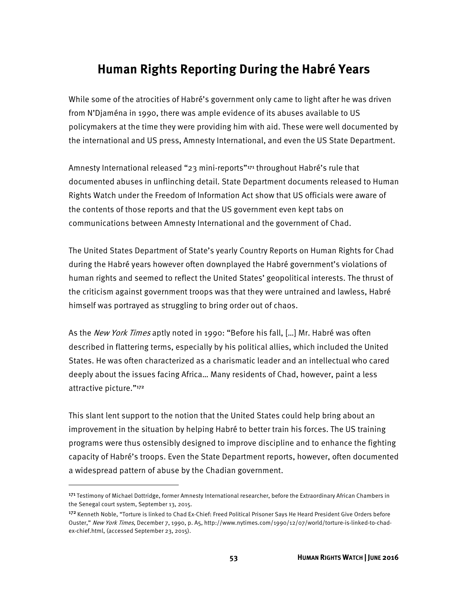# **Human Rights Reporting During the Habré Years**

While some of the atrocities of Habré's government only came to light after he was driven from N'Djaména in 1990, there was ample evidence of its abuses available to US policymakers at the time they were providing him with aid. These were well documented by the international and US press, Amnesty International, and even the US State Department.

Amnesty International released "23 mini-reports"<sup>171</sup> throughout Habré's rule that documented abuses in unflinching detail. State Department documents released to Human Rights Watch under the Freedom of Information Act show that US officials were aware of the contents of those reports and that the US government even kept tabs on communications between Amnesty International and the government of Chad.

The United States Department of State's yearly Country Reports on Human Rights for Chad during the Habré years however often downplayed the Habré government's violations of human rights and seemed to reflect the United States' geopolitical interests. The thrust of the criticism against government troops was that they were untrained and lawless, Habré himself was portrayed as struggling to bring order out of chaos.

As the *New York Times* aptly noted in 1990: "Before his fall, [...] Mr. Habré was often described in flattering terms, especially by his political allies, which included the United States. He was often characterized as a charismatic leader and an intellectual who cared deeply about the issues facing Africa… Many residents of Chad, however, paint a less attractive picture."<sup>172</sup>

This slant lent support to the notion that the United States could help bring about an improvement in the situation by helping Habré to better train his forces. The US training programs were thus ostensibly designed to improve discipline and to enhance the fighting capacity of Habré's troops. Even the State Department reports, however, often documented a widespread pattern of abuse by the Chadian government.

<sup>171</sup> Testimony of Michael Dottridge, former Amnesty International researcher, before the Extraordinary African Chambers in the Senegal court system, September 13, 2015.

<sup>172</sup> Kenneth Noble, "Torture is linked to Chad Ex-Chief: Freed Political Prisoner Says He Heard President Give Orders before Ouster," New York Times, December 7, 1990, p. A5, http://www.nytimes.com/1990/12/07/world/torture-is-linked-to-chadex-chief.html, (accessed September 23, 2015).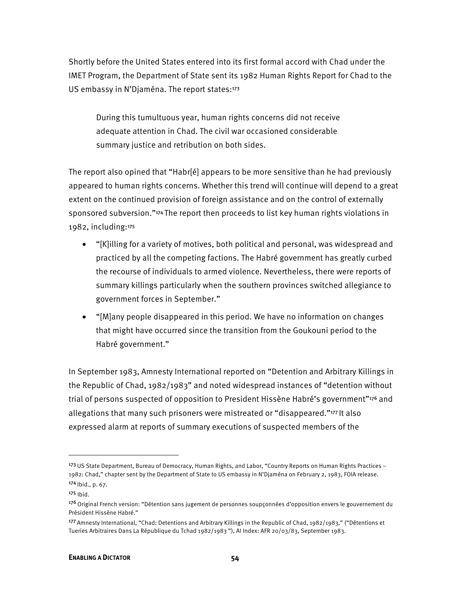Shortly before the United States entered into its first formal accord with Chad under the IMET Program, the Department of State sent its 1982 Human Rights Report for Chad to the US embassy in N'Djaména. The report states:<sup>173</sup>

During this tumultuous year, human rights concerns did not receive adequate attention in Chad. The civil war occasioned considerable summary justice and retribution on both sides.

The report also opined that "Habr[é] appears to be more sensitive than he had previously appeared to human rights concerns. Whether this trend will continue will depend to a great extent on the continued provision of foreign assistance and on the control of externally sponsored subversion."174 The report then proceeds to list key human rights violations in 1982, including:<sup>175</sup>

- "[K]illing for a variety of motives, both political and personal, was widespread and practiced by all the competing factions. The Habré government has greatly curbed the recourse of individuals to armed violence. Nevertheless, there were reports of summary killings particularly when the southern provinces switched allegiance to government forces in September."
- "[M]any people disappeared in this period. We have no information on changes that might have occurred since the transition from the Goukouni period to the Habré government."

In September 1983, Amnesty International reported on "Detention and Arbitrary Killings in the Republic of Chad, 1982/1983" and noted widespread instances of "detention without trial of persons suspected of opposition to President Hissène Habré's government"<sup>176</sup> and allegations that many such prisoners were mistreated or "disappeared."177 It also expressed alarm at reports of summary executions of suspected members of the

<sup>173</sup> US State Department, Bureau of Democracy, Human Rights, and Labor, "Country Reports on Human Rights Practices – 1982: Chad," chapter sent by the Department of State to US embassy in N'Djaména on February 2, 1983, FOIA release.  $174$  Ibid., p. 67.

<sup>175</sup> Ibid.

<sup>&</sup>lt;sup>176</sup> Original French version: "Détention sans jugement de personnes soupçonnées d'opposition envers le gouvernement du Président Hissène Habré."

<sup>177</sup> Amnesty International, "Chad: Detentions and Arbitrary Killings in the Republic of Chad, 1982/1983," ("Détentions et Tueries Arbitraires Dans La République du Tchad 1982/1983 "), AI Index: AFR 20/03/83, September 1983.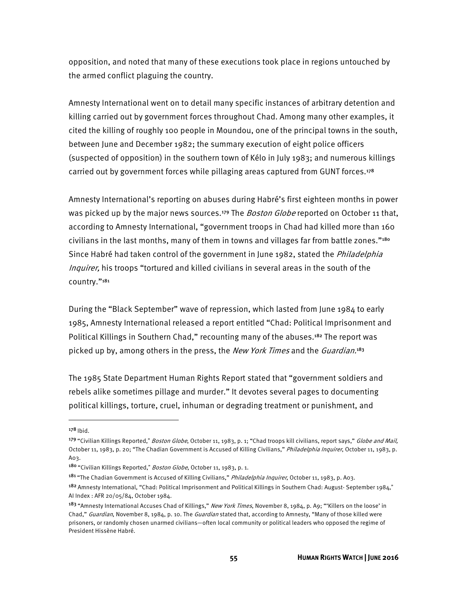opposition, and noted that many of these executions took place in regions untouched by the armed conflict plaguing the country.

Amnesty International went on to detail many specific instances of arbitrary detention and killing carried out by government forces throughout Chad. Among many other examples, it cited the killing of roughly 100 people in Moundou, one of the principal towns in the south, between June and December 1982; the summary execution of eight police officers (suspected of opposition) in the southern town of Kélo in July 1983; and numerous killings carried out by government forces while pillaging areas captured from GUNT forces.<sup>178</sup>

Amnesty International's reporting on abuses during Habré's first eighteen months in power was picked up by the major news sources.<sup>179</sup> The *Boston Globe* reported on October 11 that, according to Amnesty International, "government troops in Chad had killed more than 160 civilians in the last months, many of them in towns and villages far from battle zones."<sup>180</sup> Since Habré had taken control of the government in June 1982, stated the *Philadelphia* Inquirer, his troops "tortured and killed civilians in several areas in the south of the country."<sup>181</sup>

During the "Black September" wave of repression, which lasted from June 1984 to early 1985, Amnesty International released a report entitled "Chad: Political Imprisonment and Political Killings in Southern Chad," recounting many of the abuses.182 The report was picked up by, among others in the press, the *New York Times* and the *Guardian*.<sup>183</sup>

The 1985 State Department Human Rights Report stated that "government soldiers and rebels alike sometimes pillage and murder." It devotes several pages to documenting political killings, torture, cruel, inhuman or degrading treatment or punishment, and

 $178$  Ibid.

<sup>179 &</sup>quot;Civilian Killings Reported," Boston Globe, October 11, 1983, p. 1; "Chad troops kill civilians, report says," Globe and Mail, October 11, 1983, p. 20; "The Chadian Government is Accused of Killing Civilians," Philadelphia Inquirer, October 11, 1983, p. A03.

<sup>180 &</sup>quot;Civilian Killings Reported," Boston Globe, October 11, 1983, p. 1.

<sup>181 &</sup>quot;The Chadian Government is Accused of Killing Civilians," Philadelphia Inquirer, October 11, 1983, p. A03.

<sup>182</sup> Amnesty International, "Chad: Political Imprisonment and Political Killings in Southern Chad: August-September 1984," AI Index : AFR 20/05/84, October 1984.

<sup>&</sup>lt;sup>183</sup> "Amnesty International Accuses Chad of Killings," New York Times, November 8, 1984, p. A9; "'Killers on the loose' in Chad," Guardian, November 8, 1984, p. 10. The Guardian stated that, according to Amnesty, "Many of those killed were prisoners, or randomly chosen unarmed civilians—often local community or political leaders who opposed the regime of President Hissène Habré.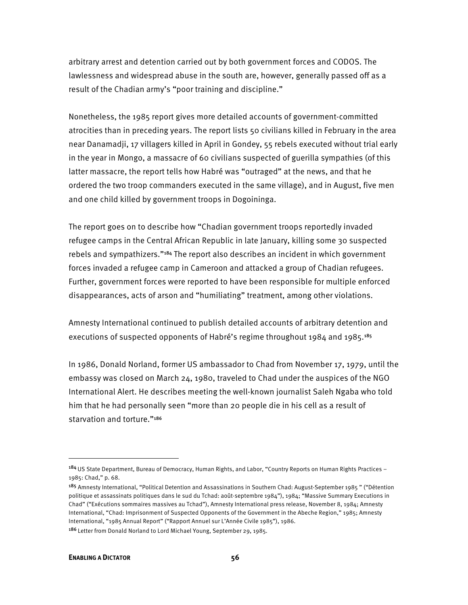arbitrary arrest and detention carried out by both government forces and CODOS. The lawlessness and widespread abuse in the south are, however, generally passed off as a result of the Chadian army's "poor training and discipline."

Nonetheless, the 1985 report gives more detailed accounts of government-committed atrocities than in preceding years. The report lists 50 civilians killed in February in the area near Danamadji, 17 villagers killed in April in Gondey, 55 rebels executed without trial early in the year in Mongo, a massacre of 60 civilians suspected of guerilla sympathies (of this latter massacre, the report tells how Habré was "outraged" at the news, and that he ordered the two troop commanders executed in the same village), and in August, five men and one child killed by government troops in Dogoininga.

The report goes on to describe how "Chadian government troops reportedly invaded refugee camps in the Central African Republic in late January, killing some 30 suspected rebels and sympathizers."184 The report also describes an incident in which government forces invaded a refugee camp in Cameroon and attacked a group of Chadian refugees. Further, government forces were reported to have been responsible for multiple enforced disappearances, acts of arson and "humiliating" treatment, among other violations.

Amnesty International continued to publish detailed accounts of arbitrary detention and executions of suspected opponents of Habré's regime throughout 1984 and 1985.<sup>185</sup>

In 1986, Donald Norland, former US ambassador to Chad from November 17, 1979, until the embassy was closed on March 24, 1980, traveled to Chad under the auspices of the NGO International Alert. He describes meeting the well-known journalist Saleh Ngaba who told him that he had personally seen "more than 20 people die in his cell as a result of starvation and torture."<sup>186</sup>

<sup>184</sup> US State Department, Bureau of Democracy, Human Rights, and Labor, "Country Reports on Human Rights Practices -1985: Chad," p. 68.

<sup>185</sup> Amnesty International, "Political Detention and Assassinations in Southern Chad: August-September 1985 " ("Détention politique et assassinats politiques dans le sud du Tchad: août-septembre 1984"), 1984; "Massive Summary Executions in Chad" ("Exécutions sommaires massives au Tchad"), Amnesty International press release, November 8, 1984; Amnesty International, "Chad: Imprisonment of Suspected Opponents of the Government in the Abeche Region," 1985; Amnesty International, "1985 Annual Report" ("Rapport Annuel sur L'Année Civile 1985"), 1986.

<sup>&</sup>lt;sup>186</sup> Letter from Donald Norland to Lord Michael Young, September 29, 1985.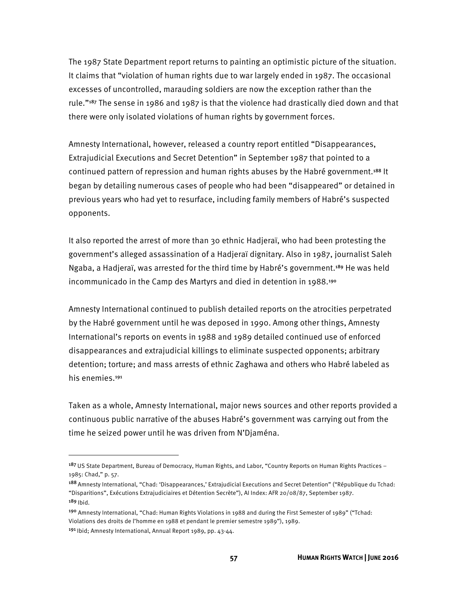The 1987 State Department report returns to painting an optimistic picture of the situation. It claims that "violation of human rights due to war largely ended in 1987. The occasional excesses of uncontrolled, marauding soldiers are now the exception rather than the rule."187 The sense in 1986 and 1987 is that the violence had drastically died down and that there were only isolated violations of human rights by government forces.

Amnesty International, however, released a country report entitled "Disappearances, Extrajudicial Executions and Secret Detention" in September 1987 that pointed to a continued pattern of repression and human rights abuses by the Habré government.<sup>188</sup> It began by detailing numerous cases of people who had been "disappeared" or detained in previous years who had yet to resurface, including family members of Habré's suspected opponents.

It also reported the arrest of more than 30 ethnic Hadjeraï, who had been protesting the government's alleged assassination of a Hadjeraï dignitary. Also in 1987, journalist Saleh Ngaba, a Hadjeraï, was arrested for the third time by Habré's government.<sup>189</sup> He was held incommunicado in the Camp des Martyrs and died in detention in 1988.<sup>190</sup>

Amnesty International continued to publish detailed reports on the atrocities perpetrated by the Habré government until he was deposed in 1990. Among other things, Amnesty International's reports on events in 1988 and 1989 detailed continued use of enforced disappearances and extrajudicial killings to eliminate suspected opponents; arbitrary detention; torture; and mass arrests of ethnic Zaghawa and others who Habré labeled as his enemies.<sup>191</sup>

Taken as a whole, Amnesty International, major news sources and other reports provided a continuous public narrative of the abuses Habré's government was carrying out from the time he seized power until he was driven from N'Djaména.

<sup>&</sup>lt;sup>187</sup> US State Department, Bureau of Democracy, Human Rights, and Labor, "Country Reports on Human Rights Practices – 1985: Chad," p. 57.

<sup>188</sup>Amnesty International, "Chad: 'Disappearances,' Extrajudicial Executions and Secret Detention" ("République du Tchad: "Disparitions", Exécutions Extrajudiciaires et Détention Secrète"), AI Index: AFR 20/08/87, September 1987.  $189$  Ihid.

<sup>190</sup> Amnesty International, "Chad: Human Rights Violations in 1988 and during the First Semester of 1989" ("Tchad: Violations des droits de l'homme en 1988 et pendant le premier semestre 1989"), 1989.

<sup>191</sup> Ibid; Amnesty International, Annual Report 1989, pp. 43-44.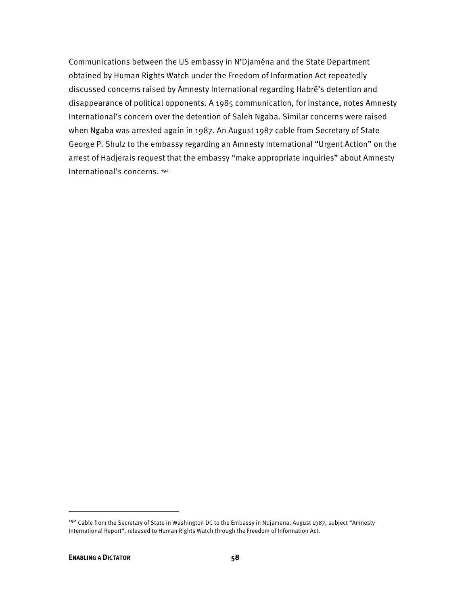Communications between the US embassy in N'Djaména and the State Department obtained by Human Rights Watch under the Freedom of Information Act repeatedly discussed concerns raised by Amnesty International regarding Habré's detention and disappearance of political opponents. A 1985 communication, for instance, notes Amnesty International's concern over the detention of Saleh Ngaba. Similar concerns were raised when Ngaba was arrested again in 1987. An August 1987 cable from Secretary of State George P. Shulz to the embassy regarding an Amnesty International "Urgent Action" on the arrest of Hadjerais request that the embassy "make appropriate inquiries" about Amnesty International's concerns. 192

<sup>192</sup> Cable from the Secretary of State in Washington DC to the Embassy in Ndjamena, August 1987, subject "Amnesty International Report", released to Human Rights Watch through the Freedom of Information Act.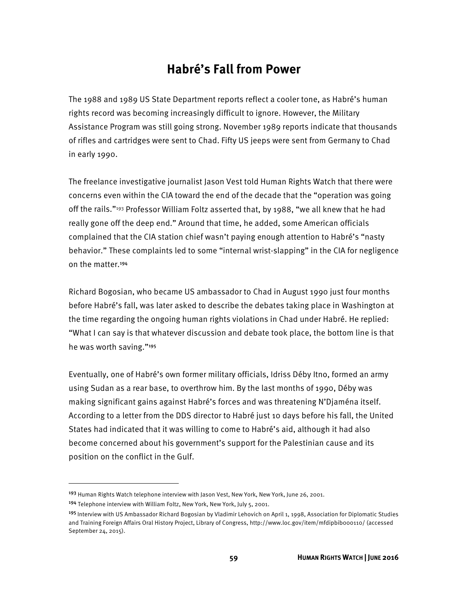# **Habré's Fall from Power**

The 1988 and 1989 US State Department reports reflect a cooler tone, as Habré's human rights record was becoming increasingly difficult to ignore. However, the Military Assistance Program was still going strong. November 1989 reports indicate that thousands of rifles and cartridges were sent to Chad. Fifty US jeeps were sent from Germany to Chad in early 1990.

The freelance investigative journalist Jason Vest told Human Rights Watch that there were concerns even within the CIA toward the end of the decade that the "operation was going off the rails."<sup>193</sup> Professor William Foltz asserted that, by 1988, "we all knew that he had really gone off the deep end." Around that time, he added, some American officials complained that the CIA station chief wasn't paying enough attention to Habré's "nasty behavior." These complaints led to some "internal wrist-slapping" in the CIA for negligence on the matter.<sup>194</sup>

Richard Bogosian, who became US ambassador to Chad in August 1990 just four months before Habré's fall, was later asked to describe the debates taking place in Washington at the time regarding the ongoing human rights violations in Chad under Habré. He replied: "What I can say is that whatever discussion and debate took place, the bottom line is that he was worth saving."<sup>195</sup>

Eventually, one of Habré's own former military officials, Idriss Déby Itno, formed an army using Sudan as a rear base, to overthrow him. By the last months of 1990, Déby was making significant gains against Habré's forces and was threatening N'Djaména itself. According to a letter from the DDS director to Habré just 10 days before his fall, the United States had indicated that it was willing to come to Habré's aid, although it had also become concerned about his government's support for the Palestinian cause and its position on the conflict in the Gulf.

<sup>&</sup>lt;sup>193</sup> Human Rights Watch telephone interview with Jason Vest, New York, New York, June 26, 2001.

<sup>194</sup> Telephone interview with William Foltz, New York, New York, July 5, 2001.

<sup>&</sup>lt;sup>195</sup> Interview with US Ambassador Richard Bogosian by Vladimir Lehovich on April 1, 1998, Association for Diplomatic Studies and Training Foreign Affairs Oral History Project, Library of Congress, http://www.loc.gov/item/mfdipbib000110/ (accessed September 24, 2015).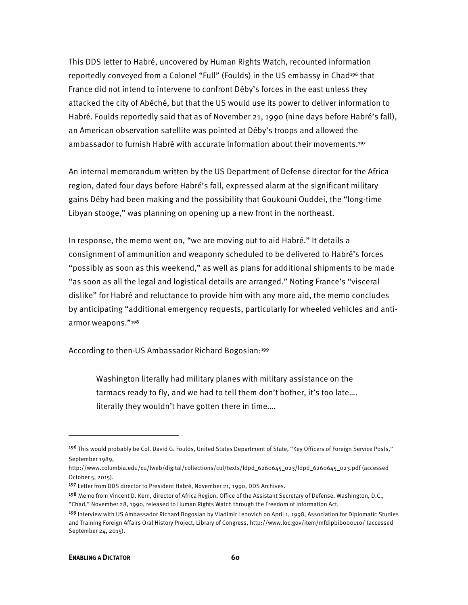This DDS letter to Habré, uncovered by Human Rights Watch, recounted information reportedly conveyed from a Colonel "Full" (Foulds) in the US embassy in Chad<sup>196</sup> that France did not intend to intervene to confront Déby's forces in the east unless they attacked the city of Abéché, but that the US would use its power to deliver information to Habré. Foulds reportedly said that as of November 21, 1990 (nine days before Habré's fall), an American observation satellite was pointed at Déby's troops and allowed the ambassador to furnish Habré with accurate information about their movements.<sup>197</sup>

An internal memorandum written by the US Department of Defense director for the Africa region, dated four days before Habré's fall, expressed alarm at the significant military gains Déby had been making and the possibility that Goukouni Ouddei, the "long-time Libyan stooge," was planning on opening up a new front in the northeast.

In response, the memo went on, "we are moving out to aid Habré." It details a consignment of ammunition and weaponry scheduled to be delivered to Habré's forces "possibly as soon as this weekend," as well as plans for additional shipments to be made "as soon as all the legal and logistical details are arranged." Noting France's "visceral dislike" for Habré and reluctance to provide him with any more aid, the memo concludes by anticipating "additional emergency requests, particularly for wheeled vehicles and antiarmor weapons."<sup>198</sup>

According to then-US Ambassador Richard Bogosian:<sup>199</sup>

Washington literally had military planes with military assistance on the tarmacs ready to fly, and we had to tell them don't bother, it's too late…. literally they wouldn't have gotten there in time….

l

<sup>196</sup> This would probably be Col. David G. Foulds, United States Department of State, "Key Officers of Foreign Service Posts," September 1989,

http://www.columbia.edu/cu/lweb/digital/collections/cul/texts/ldpd\_6260645\_023/ldpd\_6260645\_023.pdf (accessed October 5, 2015).

<sup>197</sup> Letter from DDS director to President Habré, November 21, 1990, DDS Archives.

<sup>198</sup> Memo from Vincent D. Kern, director of Africa Region, Office of the Assistant Secretary of Defense, Washington, D.C., "Chad," November 28, 1990, released to Human Rights Watch through the Freedom of Information Act.

<sup>199</sup>Interview with US Ambassador Richard Bogosian by Vladimir Lehovich on April 1, 1998, Association for Diplomatic Studies and Training Foreign Affairs Oral History Project, Library of Congress, http://www.loc.gov/item/mfdipbib000110/ (accessed September 24, 2015).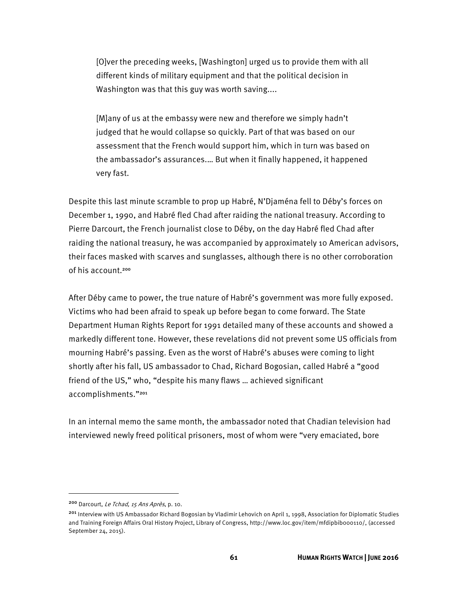[O]ver the preceding weeks, [Washington] urged us to provide them with all different kinds of military equipment and that the political decision in Washington was that this guy was worth saving....

[M]any of us at the embassy were new and therefore we simply hadn't judged that he would collapse so quickly. Part of that was based on our assessment that the French would support him, which in turn was based on the ambassador's assurances.… But when it finally happened, it happened very fast.

Despite this last minute scramble to prop up Habré, N'Djaména fell to Déby's forces on December 1, 1990, and Habré fled Chad after raiding the national treasury. According to Pierre Darcourt, the French journalist close to Déby, on the day Habré fled Chad after raiding the national treasury, he was accompanied by approximately 10 American advisors, their faces masked with scarves and sunglasses, although there is no other corroboration of his account.<sup>200</sup>

After Déby came to power, the true nature of Habré's government was more fully exposed. Victims who had been afraid to speak up before began to come forward. The State Department Human Rights Report for 1991 detailed many of these accounts and showed a markedly different tone. However, these revelations did not prevent some US officials from mourning Habré's passing. Even as the worst of Habré's abuses were coming to light shortly after his fall, US ambassador to Chad, Richard Bogosian, called Habré a "good friend of the US," who, "despite his many flaws … achieved significant accomplishments."<sup>201</sup>

In an internal memo the same month, the ambassador noted that Chadian television had interviewed newly freed political prisoners, most of whom were "very emaciated, bore

<sup>200</sup> Darcourt, Le Tchad, 15 Ans Après, p. 10.

<sup>&</sup>lt;sup>201</sup> Interview with US Ambassador Richard Bogosian by Vladimir Lehovich on April 1, 1998, Association for Diplomatic Studies and Training Foreign Affairs Oral History Project, Library of Congress, http://www.loc.gov/item/mfdipbib000110/, (accessed September 24, 2015).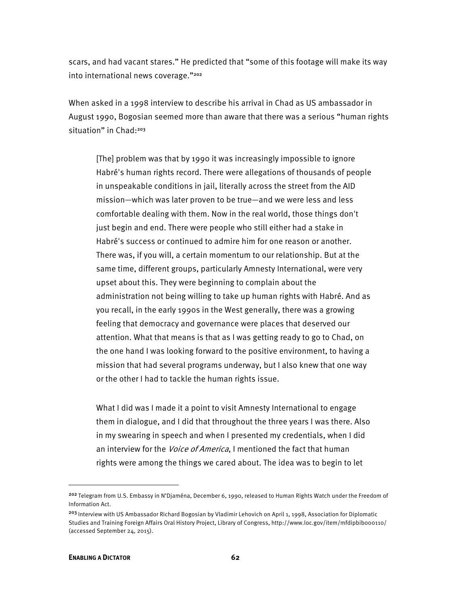scars, and had vacant stares." He predicted that "some of this footage will make its way into international news coverage."202

When asked in a 1998 interview to describe his arrival in Chad as US ambassador in August 1990, Bogosian seemed more than aware that there was a serious "human rights situation" in Chad:<sup>203</sup>

[The] problem was that by 1990 it was increasingly impossible to ignore Habré's human rights record. There were allegations of thousands of people in unspeakable conditions in jail, literally across the street from the AID mission—which was later proven to be true—and we were less and less comfortable dealing with them. Now in the real world, those things don't just begin and end. There were people who still either had a stake in Habré's success or continued to admire him for one reason or another. There was, if you will, a certain momentum to our relationship. But at the same time, different groups, particularly Amnesty International, were very upset about this. They were beginning to complain about the administration not being willing to take up human rights with Habré. And as you recall, in the early 1990s in the West generally, there was a growing feeling that democracy and governance were places that deserved our attention. What that means is that as I was getting ready to go to Chad, on the one hand I was looking forward to the positive environment, to having a mission that had several programs underway, but I also knew that one way or the other I had to tackle the human rights issue.

What I did was I made it a point to visit Amnesty International to engage them in dialogue, and I did that throughout the three years I was there. Also in my swearing in speech and when I presented my credentials, when I did an interview for the *Voice of America*, I mentioned the fact that human rights were among the things we cared about. The idea was to begin to let

<sup>202</sup>Telegram from U.S. Embassy in N'Djaména, December 6, 1990, released to Human Rights Watch under the Freedom of Information Act.

<sup>&</sup>lt;sup>203</sup> Interview with US Ambassador Richard Bogosian by Vladimir Lehovich on April 1, 1998, Association for Diplomatic Studies and Training Foreign Affairs Oral History Project, Library of Congress, http://www.loc.gov/item/mfdipbib000110/ (accessed September 24, 2015).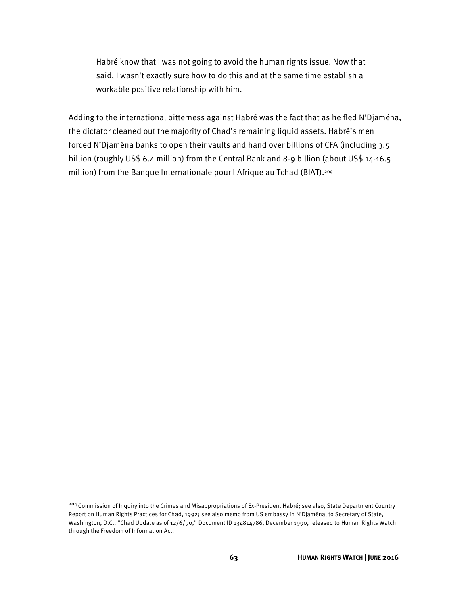Habré know that I was not going to avoid the human rights issue. Now that said, I wasn't exactly sure how to do this and at the same time establish a workable positive relationship with him.

Adding to the international bitterness against Habré was the fact that as he fled N'Djaména, the dictator cleaned out the majority of Chad's remaining liquid assets. Habré's men forced N'Djaména banks to open their vaults and hand over billions of CFA (including 3.5 billion (roughly US\$ 6.4 million) from the Central Bank and 8-9 billion (about US\$ 14-16.5 million) from the Banque Internationale pour l'Afrique au Tchad (BIAT).<sup>204</sup>

l

<sup>204</sup> Commission of Inquiry into the Crimes and Misappropriations of Ex-President Habré; see also, State Department Country Report on Human Rights Practices for Chad, 1992; see also memo from US embassy in N'Djaména, to Secretary of State, Washington, D.C., "Chad Update as of 12/6/90," Document ID 134814786, December 1990, released to Human Rights Watch through the Freedom of Information Act.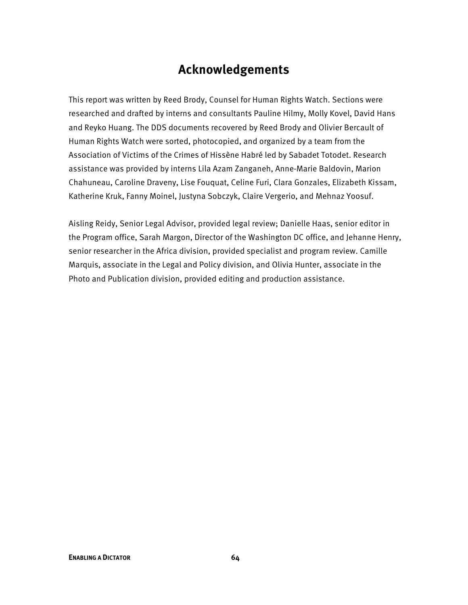# **Acknowledgements**

This report was written by Reed Brody, Counsel for Human Rights Watch. Sections were researched and drafted by interns and consultants Pauline Hilmy, Molly Kovel, David Hans and Reyko Huang. The DDS documents recovered by Reed Brody and Olivier Bercault of Human Rights Watch were sorted, photocopied, and organized by a team from the Association of Victims of the Crimes of Hissène Habré led by Sabadet Totodet. Research assistance was provided by interns Lila Azam Zanganeh, Anne-Marie Baldovin, Marion Chahuneau, Caroline Draveny, Lise Fouquat, Celine Furi, Clara Gonzales, Elizabeth Kissam, Katherine Kruk, Fanny Moinel, Justyna Sobczyk, Claire Vergerio, and Mehnaz Yoosuf.

Aisling Reidy, Senior Legal Advisor, provided legal review; Danielle Haas, senior editor in the Program office, Sarah Margon, Director of the Washington DC office, and Jehanne Henry, senior researcher in the Africa division, provided specialist and program review. Camille Marquis, associate in the Legal and Policy division, and Olivia Hunter, associate in the Photo and Publication division, provided editing and production assistance.